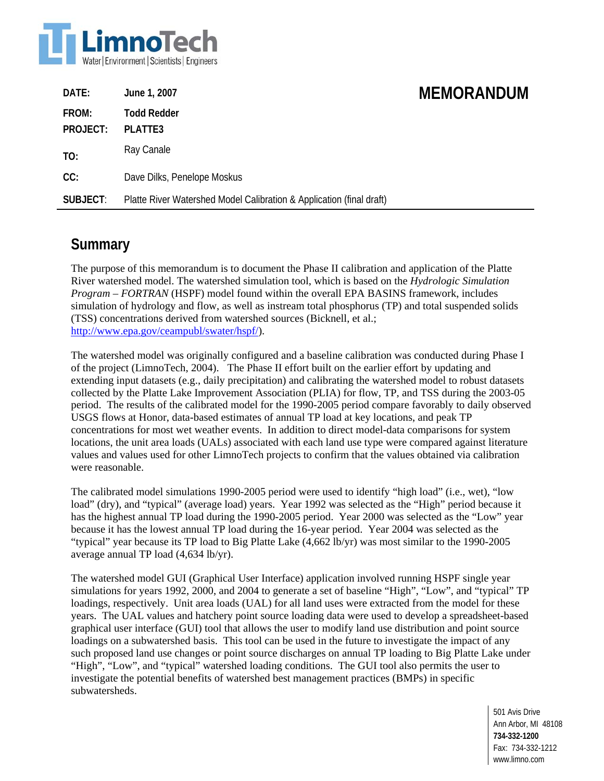

| DATE:                    | June 1, 2007                                                         | <b>MEMORANDUM</b> |
|--------------------------|----------------------------------------------------------------------|-------------------|
| FROM:<br><b>PROJECT:</b> | <b>Todd Redder</b><br>PLATTE3                                        |                   |
| TO:                      | Ray Canale                                                           |                   |
| CC:                      | Dave Dilks, Penelope Moskus                                          |                   |
| <b>SUBJECT:</b>          | Platte River Watershed Model Calibration & Application (final draft) |                   |

# **Summary**

The purpose of this memorandum is to document the Phase II calibration and application of the Platte River watershed model. The watershed simulation tool, which is based on the *Hydrologic Simulation Program – FORTRAN* (HSPF) model found within the overall EPA BASINS framework, includes simulation of hydrology and flow, as well as instream total phosphorus (TP) and total suspended solids (TSS) concentrations derived from watershed sources (Bicknell, et al.; <http://www.epa.gov/ceampubl/swater/hspf/>).

The watershed model was originally configured and a baseline calibration was conducted during Phase I of the project (LimnoTech, 2004). The Phase II effort built on the earlier effort by updating and extending input datasets (e.g., daily precipitation) and calibrating the watershed model to robust datasets collected by the Platte Lake Improvement Association (PLIA) for flow, TP, and TSS during the 2003-05 period. The results of the calibrated model for the 1990-2005 period compare favorably to daily observed USGS flows at Honor, data-based estimates of annual TP load at key locations, and peak TP concentrations for most wet weather events. In addition to direct model-data comparisons for system locations, the unit area loads (UALs) associated with each land use type were compared against literature values and values used for other LimnoTech projects to confirm that the values obtained via calibration were reasonable.

The calibrated model simulations 1990-2005 period were used to identify "high load" (i.e., wet), "low load" (dry), and "typical" (average load) years. Year 1992 was selected as the "High" period because it has the highest annual TP load during the 1990-2005 period. Year 2000 was selected as the "Low" year because it has the lowest annual TP load during the 16-year period. Year 2004 was selected as the "typical" year because its TP load to Big Platte Lake (4,662 lb/yr) was most similar to the 1990-2005 average annual TP load (4,634 lb/yr).

The watershed model GUI (Graphical User Interface) application involved running HSPF single year simulations for years 1992, 2000, and 2004 to generate a set of baseline "High", "Low", and "typical" TP loadings, respectively. Unit area loads (UAL) for all land uses were extracted from the model for these years. The UAL values and hatchery point source loading data were used to develop a spreadsheet-based graphical user interface (GUI) tool that allows the user to modify land use distribution and point source loadings on a subwatershed basis. This tool can be used in the future to investigate the impact of any such proposed land use changes or point source discharges on annual TP loading to Big Platte Lake under "High", "Low", and "typical" watershed loading conditions. The GUI tool also permits the user to investigate the potential benefits of watershed best management practices (BMPs) in specific subwatersheds.

> 501 Avis Drive Ann Arbor, MI 48108 **734-332-1200** Fax: 734-332-1212 www.limno.com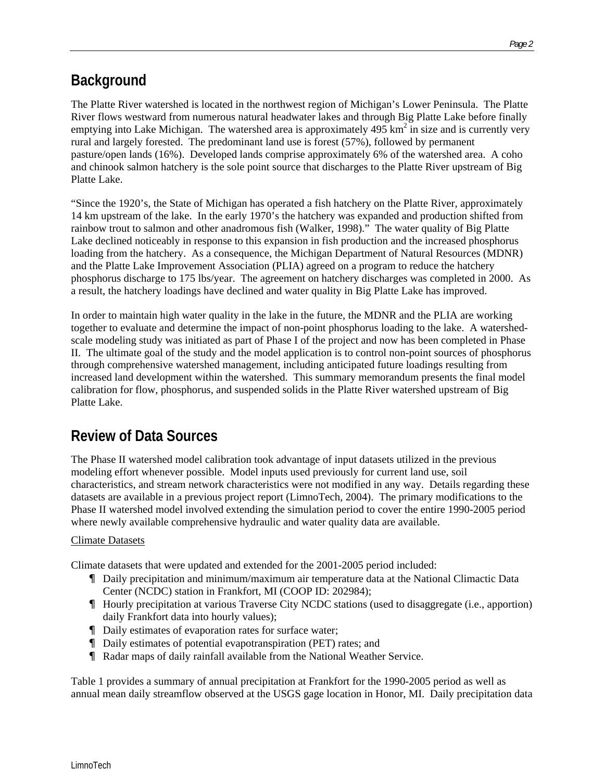# **Background**

The Platte River watershed is located in the northwest region of Michigan's Lower Peninsula. The Platte River flows westward from numerous natural headwater lakes and through Big Platte Lake before finally emptying into Lake Michigan. The watershed area is approximately  $495 \text{ km}^2$  in size and is currently very rural and largely forested. The predominant land use is forest (57%), followed by permanent pasture/open lands (16%). Developed lands comprise approximately 6% of the watershed area. A coho and chinook salmon hatchery is the sole point source that discharges to the Platte River upstream of Big Platte Lake.

"Since the 1920's, the State of Michigan has operated a fish hatchery on the Platte River, approximately 14 km upstream of the lake. In the early 1970's the hatchery was expanded and production shifted from rainbow trout to salmon and other anadromous fish (Walker, 1998)." The water quality of Big Platte Lake declined noticeably in response to this expansion in fish production and the increased phosphorus loading from the hatchery. As a consequence, the Michigan Department of Natural Resources (MDNR) and the Platte Lake Improvement Association (PLIA) agreed on a program to reduce the hatchery phosphorus discharge to 175 lbs/year. The agreement on hatchery discharges was completed in 2000. As a result, the hatchery loadings have declined and water quality in Big Platte Lake has improved.

In order to maintain high water quality in the lake in the future, the MDNR and the PLIA are working together to evaluate and determine the impact of non-point phosphorus loading to the lake. A watershedscale modeling study was initiated as part of Phase I of the project and now has been completed in Phase II. The ultimate goal of the study and the model application is to control non-point sources of phosphorus through comprehensive watershed management, including anticipated future loadings resulting from increased land development within the watershed. This summary memorandum presents the final model calibration for flow, phosphorus, and suspended solids in the Platte River watershed upstream of Big Platte Lake.

# **Review of Data Sources**

The Phase II watershed model calibration took advantage of input datasets utilized in the previous modeling effort whenever possible. Model inputs used previously for current land use, soil characteristics, and stream network characteristics were not modified in any way. Details regarding these datasets are available in a previous project report (LimnoTech, 2004). The primary modifications to the Phase II watershed model involved extending the simulation period to cover the entire 1990-2005 period where newly available comprehensive hydraulic and water quality data are available.

# Climate Datasets

Climate datasets that were updated and extended for the 2001-2005 period included:

- Daily precipitation and minimum/maximum air temperature data at the National Climactic Data Center (NCDC) station in Frankfort, MI (COOP ID: 202984);
- Hourly precipitation at various Traverse City NCDC stations (used to disaggregate (i.e., apportion) daily Frankfort data into hourly values);
- Daily estimates of evaporation rates for surface water;
- Daily estimates of potential evapotranspiration (PET) rates; and
- Radar maps of daily rainfall available from the National Weather Service.

Table 1 provides a summary of annual precipitation at Frankfort for the 1990-2005 period as well as annual mean daily streamflow observed at the USGS gage location in Honor, MI. Daily precipitation data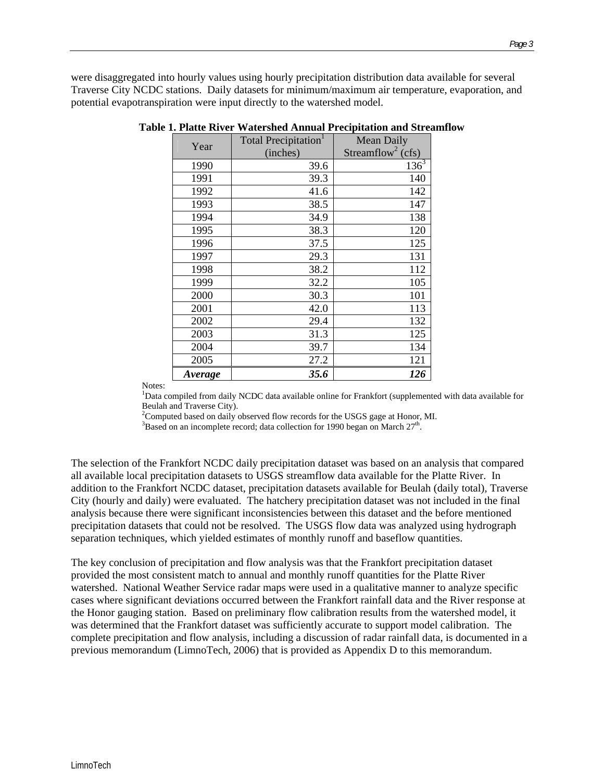were disaggregated into hourly values using hourly precipitation distribution data available for several Traverse City NCDC stations. Daily datasets for minimum/maximum air temperature, evaporation, and potential evapotranspiration were input directly to the watershed model.

|                | Total Precipitation <sup>1</sup> | Mean Daily                    |
|----------------|----------------------------------|-------------------------------|
| Year           | (inches)                         | Streamflow <sup>2</sup> (cfs) |
| 1990           | 39.6                             | $136^{3}$                     |
| 1991           | 39.3                             | 140                           |
| 1992           | 41.6                             | 142                           |
| 1993           | 38.5                             | 147                           |
| 1994           | 34.9                             | 138                           |
| 1995           | 38.3                             | 120                           |
| 1996           | 37.5                             | 125                           |
| 1997           | 29.3                             | 131                           |
| 1998           | 38.2                             | 112                           |
| 1999           | 32.2                             | 105                           |
| 2000           | 30.3                             | 101                           |
| 2001           | 42.0                             | 113                           |
| 2002           | 29.4                             | 132                           |
| 2003           | 31.3                             | 125                           |
| 2004           | 39.7                             | 134                           |
| 2005           | 27.2                             | 121                           |
| <i>Average</i> | 35.6                             | 126                           |

**Table 1. Platte River Watershed Annual Precipitation and Streamflow**

Notes:

<sup>1</sup>Data compiled from daily NCDC data available online for Frankfort (supplemented with data available for Beulah and Traverse City).

<sup>2</sup>Computed based on daily observed flow records for the USGS gage at Honor, MI.  $3P_{2}$ 

 $B$ Based on an incomplete record; data collection for 1990 began on March 27<sup>th</sup>.

The selection of the Frankfort NCDC daily precipitation dataset was based on an analysis that compared all available local precipitation datasets to USGS streamflow data available for the Platte River. In addition to the Frankfort NCDC dataset, precipitation datasets available for Beulah (daily total), Traverse City (hourly and daily) were evaluated. The hatchery precipitation dataset was not included in the final analysis because there were significant inconsistencies between this dataset and the before mentioned precipitation datasets that could not be resolved. The USGS flow data was analyzed using hydrograph separation techniques, which yielded estimates of monthly runoff and baseflow quantities.

The key conclusion of precipitation and flow analysis was that the Frankfort precipitation dataset provided the most consistent match to annual and monthly runoff quantities for the Platte River watershed. National Weather Service radar maps were used in a qualitative manner to analyze specific cases where significant deviations occurred between the Frankfort rainfall data and the River response at the Honor gauging station. Based on preliminary flow calibration results from the watershed model, it was determined that the Frankfort dataset was sufficiently accurate to support model calibration. The complete precipitation and flow analysis, including a discussion of radar rainfall data, is documented in a previous memorandum (LimnoTech, 2006) that is provided as Appendix D to this memorandum.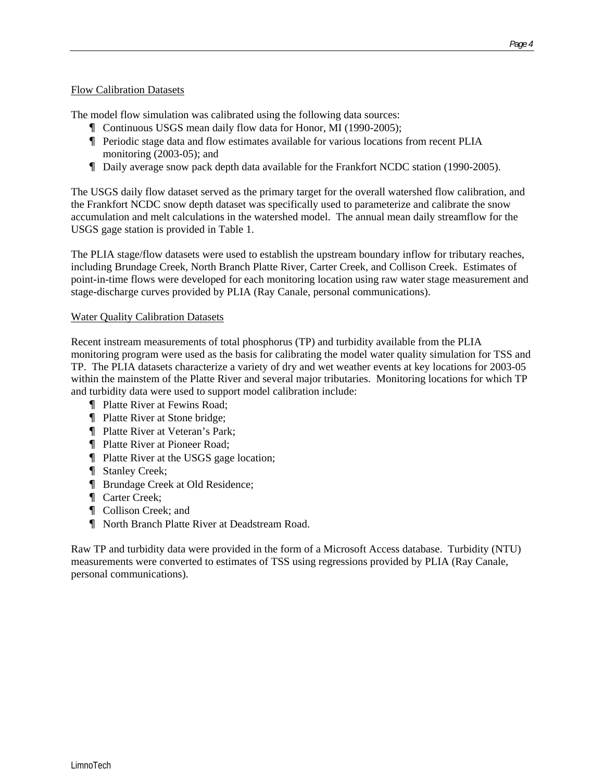#### Flow Calibration Datasets

The model flow simulation was calibrated using the following data sources:

- Continuous USGS mean daily flow data for Honor, MI (1990-2005);
- Periodic stage data and flow estimates available for various locations from recent PLIA monitoring (2003-05); and
- Daily average snow pack depth data available for the Frankfort NCDC station (1990-2005).

The USGS daily flow dataset served as the primary target for the overall watershed flow calibration, and the Frankfort NCDC snow depth dataset was specifically used to parameterize and calibrate the snow accumulation and melt calculations in the watershed model. The annual mean daily streamflow for the USGS gage station is provided in Table 1.

The PLIA stage/flow datasets were used to establish the upstream boundary inflow for tributary reaches, including Brundage Creek, North Branch Platte River, Carter Creek, and Collison Creek. Estimates of point-in-time flows were developed for each monitoring location using raw water stage measurement and stage-discharge curves provided by PLIA (Ray Canale, personal communications).

## Water Quality Calibration Datasets

Recent instream measurements of total phosphorus (TP) and turbidity available from the PLIA monitoring program were used as the basis for calibrating the model water quality simulation for TSS and TP. The PLIA datasets characterize a variety of dry and wet weather events at key locations for 2003-05 within the mainstem of the Platte River and several major tributaries. Monitoring locations for which TP and turbidity data were used to support model calibration include:

- Platte River at Fewins Road;
- Platte River at Stone bridge;
- Platte River at Veteran's Park:
- Platte River at Pioneer Road;
- Platte River at the USGS gage location;
- Stanley Creek;
- Brundage Creek at Old Residence;
- Carter Creek;
- Collison Creek; and
- North Branch Platte River at Deadstream Road.

Raw TP and turbidity data were provided in the form of a Microsoft Access database. Turbidity (NTU) measurements were converted to estimates of TSS using regressions provided by PLIA (Ray Canale, personal communications).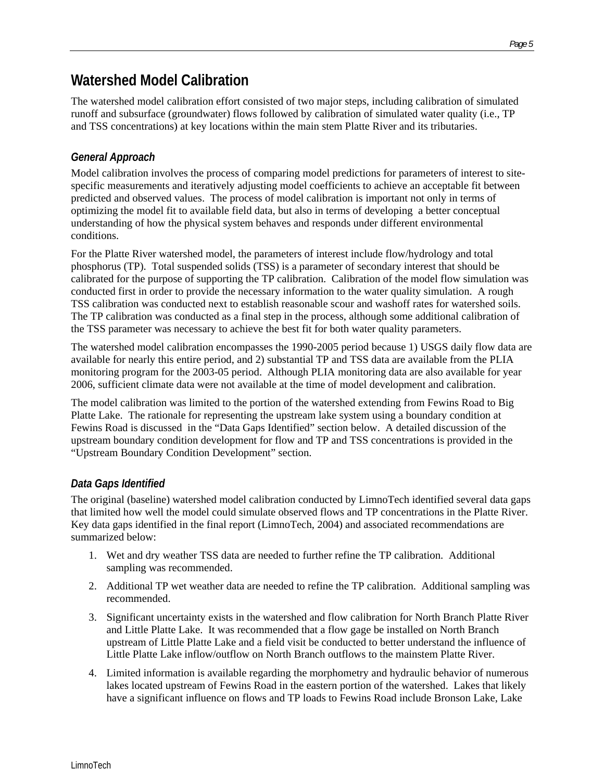# **Watershed Model Calibration**

The watershed model calibration effort consisted of two major steps, including calibration of simulated runoff and subsurface (groundwater) flows followed by calibration of simulated water quality (i.e., TP and TSS concentrations) at key locations within the main stem Platte River and its tributaries.

# *General Approach*

Model calibration involves the process of comparing model predictions for parameters of interest to sitespecific measurements and iteratively adjusting model coefficients to achieve an acceptable fit between predicted and observed values. The process of model calibration is important not only in terms of optimizing the model fit to available field data, but also in terms of developing a better conceptual understanding of how the physical system behaves and responds under different environmental conditions.

For the Platte River watershed model, the parameters of interest include flow/hydrology and total phosphorus (TP). Total suspended solids (TSS) is a parameter of secondary interest that should be calibrated for the purpose of supporting the TP calibration. Calibration of the model flow simulation was conducted first in order to provide the necessary information to the water quality simulation. A rough TSS calibration was conducted next to establish reasonable scour and washoff rates for watershed soils. The TP calibration was conducted as a final step in the process, although some additional calibration of the TSS parameter was necessary to achieve the best fit for both water quality parameters.

The watershed model calibration encompasses the 1990-2005 period because 1) USGS daily flow data are available for nearly this entire period, and 2) substantial TP and TSS data are available from the PLIA monitoring program for the 2003-05 period. Although PLIA monitoring data are also available for year 2006, sufficient climate data were not available at the time of model development and calibration.

The model calibration was limited to the portion of the watershed extending from Fewins Road to Big Platte Lake. The rationale for representing the upstream lake system using a boundary condition at Fewins Road is discussed in the "Data Gaps Identified" section below. A detailed discussion of the upstream boundary condition development for flow and TP and TSS concentrations is provided in the "Upstream Boundary Condition Development" section.

# *Data Gaps Identified*

The original (baseline) watershed model calibration conducted by LimnoTech identified several data gaps that limited how well the model could simulate observed flows and TP concentrations in the Platte River. Key data gaps identified in the final report (LimnoTech, 2004) and associated recommendations are summarized below:

- 1. Wet and dry weather TSS data are needed to further refine the TP calibration. Additional sampling was recommended.
- 2. Additional TP wet weather data are needed to refine the TP calibration. Additional sampling was recommended.
- 3. Significant uncertainty exists in the watershed and flow calibration for North Branch Platte River and Little Platte Lake. It was recommended that a flow gage be installed on North Branch upstream of Little Platte Lake and a field visit be conducted to better understand the influence of Little Platte Lake inflow/outflow on North Branch outflows to the mainstem Platte River.
- 4. Limited information is available regarding the morphometry and hydraulic behavior of numerous lakes located upstream of Fewins Road in the eastern portion of the watershed. Lakes that likely have a significant influence on flows and TP loads to Fewins Road include Bronson Lake, Lake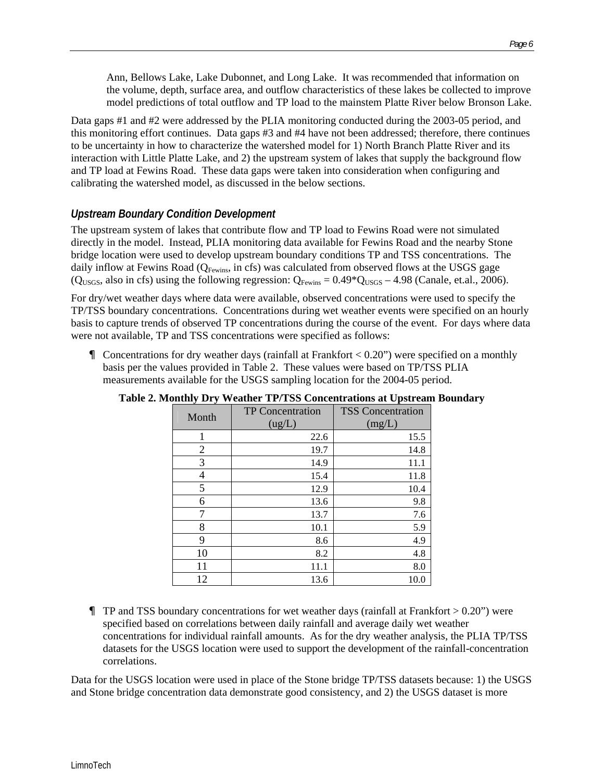Ann, Bellows Lake, Lake Dubonnet, and Long Lake. It was recommended that information on the volume, depth, surface area, and outflow characteristics of these lakes be collected to improve model predictions of total outflow and TP load to the mainstem Platte River below Bronson Lake.

Data gaps #1 and #2 were addressed by the PLIA monitoring conducted during the 2003-05 period, and this monitoring effort continues. Data gaps #3 and #4 have not been addressed; therefore, there continues to be uncertainty in how to characterize the watershed model for 1) North Branch Platte River and its interaction with Little Platte Lake, and 2) the upstream system of lakes that supply the background flow and TP load at Fewins Road. These data gaps were taken into consideration when configuring and calibrating the watershed model, as discussed in the below sections.

# *Upstream Boundary Condition Development*

The upstream system of lakes that contribute flow and TP load to Fewins Road were not simulated directly in the model. Instead, PLIA monitoring data available for Fewins Road and the nearby Stone bridge location were used to develop upstream boundary conditions TP and TSS concentrations. The daily inflow at Fewins Road ( $Q_{\text{Fewins}}$ , in cfs) was calculated from observed flows at the USGS gage ( $Q_{USGS}$ , also in cfs) using the following regression:  $Q_{Fewins} = 0.49*Q_{USGS} - 4.98$  (Canale, et.al., 2006).

For dry/wet weather days where data were available, observed concentrations were used to specify the TP/TSS boundary concentrations. Concentrations during wet weather events were specified on an hourly basis to capture trends of observed TP concentrations during the course of the event. For days where data were not available, TP and TSS concentrations were specified as follows:

• Concentrations for dry weather days (rainfall at Frankfort  $< 0.20$ ") were specified on a monthly basis per the values provided in Table 2. These values were based on TP/TSS PLIA measurements available for the USGS sampling location for the 2004-05 period.

| Month          | <b>TP</b> Concentration | <b>TSS Concentration</b> |  |
|----------------|-------------------------|--------------------------|--|
|                | (ug/L)                  | (mg/L)                   |  |
| 1              | 22.6                    | 15.5                     |  |
| $\overline{2}$ | 19.7                    | 14.8                     |  |
| 3              | 14.9                    | 11.1                     |  |
| 4              | 15.4                    | 11.8                     |  |
| 5              | 12.9                    | 10.4                     |  |
| 6              | 13.6                    | 9.8                      |  |
| 7              | 13.7                    | 7.6                      |  |
| 8              | 10.1                    | 5.9                      |  |
| 9              | 8.6                     | 4.9                      |  |
| 10             | 8.2                     | 4.8                      |  |
| 11             | 11.1                    | 8.0                      |  |
| 12             | 13.6                    | 10.0                     |  |

#### **Table 2. Monthly Dry Weather TP/TSS Concentrations at Upstream Boundary**

• TP and TSS boundary concentrations for wet weather days (rainfall at Frankfort  $> 0.20$ ") were specified based on correlations between daily rainfall and average daily wet weather concentrations for individual rainfall amounts. As for the dry weather analysis, the PLIA TP/TSS datasets for the USGS location were used to support the development of the rainfall-concentration correlations.

Data for the USGS location were used in place of the Stone bridge TP/TSS datasets because: 1) the USGS and Stone bridge concentration data demonstrate good consistency, and 2) the USGS dataset is more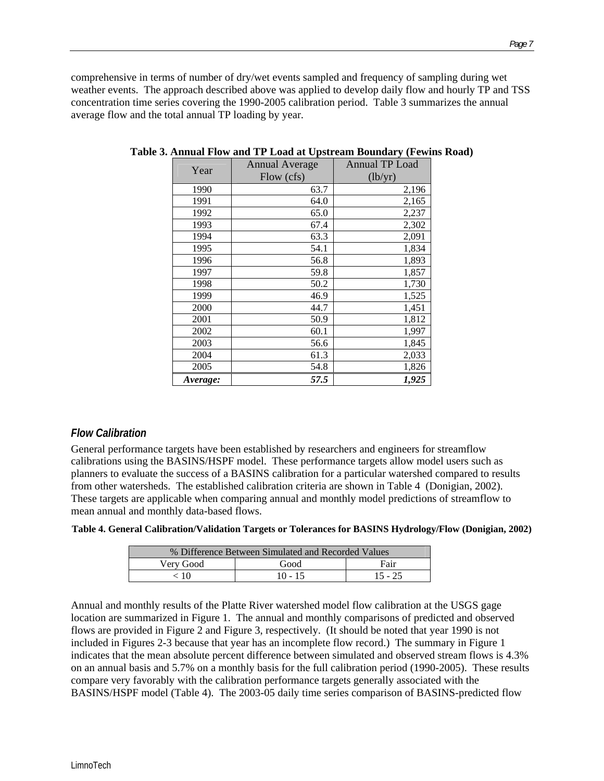comprehensive in terms of number of dry/wet events sampled and frequency of sampling during wet weather events. The approach described above was applied to develop daily flow and hourly TP and TSS concentration time series covering the 1990-2005 calibration period. Table 3 summarizes the annual average flow and the total annual TP loading by year.

|          | <b>Annual Average</b> | <b>Annual TP Load</b> |
|----------|-----------------------|-----------------------|
| Year     | Flow (cfs)            | (lb/yr)               |
| 1990     | 63.7                  | 2,196                 |
| 1991     | 64.0                  | 2,165                 |
| 1992     | 65.0                  | 2,237                 |
| 1993     | 67.4                  | 2,302                 |
| 1994     | 63.3                  | 2,091                 |
| 1995     | 54.1                  | 1,834                 |
| 1996     | 56.8                  | 1,893                 |
| 1997     | 59.8                  | 1,857                 |
| 1998     | 50.2                  | 1,730                 |
| 1999     | 46.9                  | 1,525                 |
| 2000     | 44.7                  | 1,451                 |
| 2001     | 50.9                  | 1,812                 |
| 2002     | 60.1                  | 1,997                 |
| 2003     | 56.6                  | 1,845                 |
| 2004     | 61.3                  | 2,033                 |
| 2005     | 54.8                  | 1,826                 |
| Average: | 57.5                  | 1,925                 |

**Table 3. Annual Flow and TP Load at Upstream Boundary (Fewins Road)**

## *Flow Calibration*

General performance targets have been established by researchers and engineers for streamflow calibrations using the BASINS/HSPF model. These performance targets allow model users such as planners to evaluate the success of a BASINS calibration for a particular watershed compared to results from other watersheds. The established calibration criteria are shown in Table 4 (Donigian, 2002). These targets are applicable when comparing annual and monthly model predictions of streamflow to mean annual and monthly data-based flows.

| % Difference Between Simulated and Recorded Values |           |           |  |  |  |
|----------------------------------------------------|-----------|-----------|--|--|--|
| Fair<br>Very Good<br>Good                          |           |           |  |  |  |
| $\leq 10$                                          | $10 - 15$ | $15 - 25$ |  |  |  |

Annual and monthly results of the Platte River watershed model flow calibration at the USGS gage location are summarized in Figure 1. The annual and monthly comparisons of predicted and observed flows are provided in Figure 2 and Figure 3, respectively. (It should be noted that year 1990 is not included in Figures 2-3 because that year has an incomplete flow record.) The summary in Figure 1 indicates that the mean absolute percent difference between simulated and observed stream flows is 4.3% on an annual basis and 5.7% on a monthly basis for the full calibration period (1990-2005). These results compare very favorably with the calibration performance targets generally associated with the BASINS/HSPF model (Table 4). The 2003-05 daily time series comparison of BASINS-predicted flow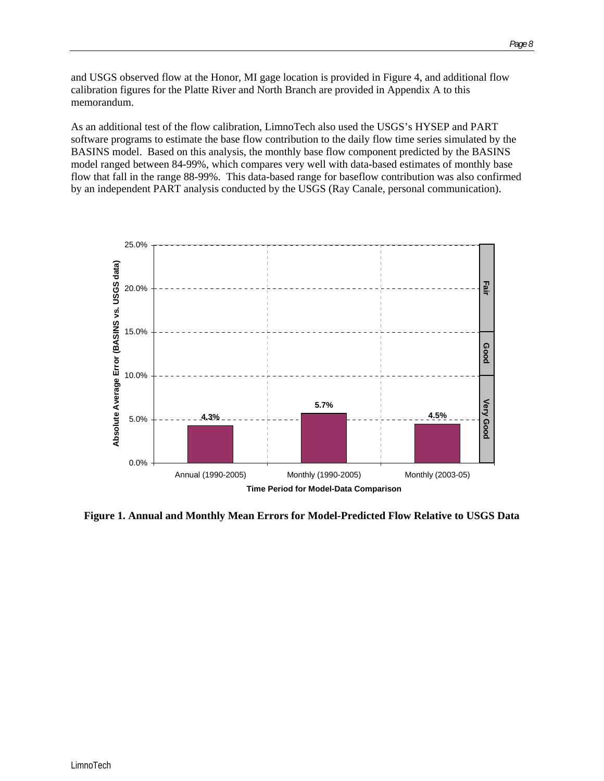and USGS observed flow at the Honor, MI gage location is provided in Figure 4, and additional flow calibration figures for the Platte River and North Branch are provided in Appendix A to this memorandum.

As an additional test of the flow calibration, LimnoTech also used the USGS's HYSEP and PART software programs to estimate the base flow contribution to the daily flow time series simulated by the BASINS model. Based on this analysis, the monthly base flow component predicted by the BASINS model ranged between 84-99%, which compares very well with data-based estimates of monthly base flow that fall in the range 88-99%. This data-based range for baseflow contribution was also confirmed by an independent PART analysis conducted by the USGS (Ray Canale, personal communication).



**Figure 1. Annual and Monthly Mean Errors for Model-Predicted Flow Relative to USGS Data**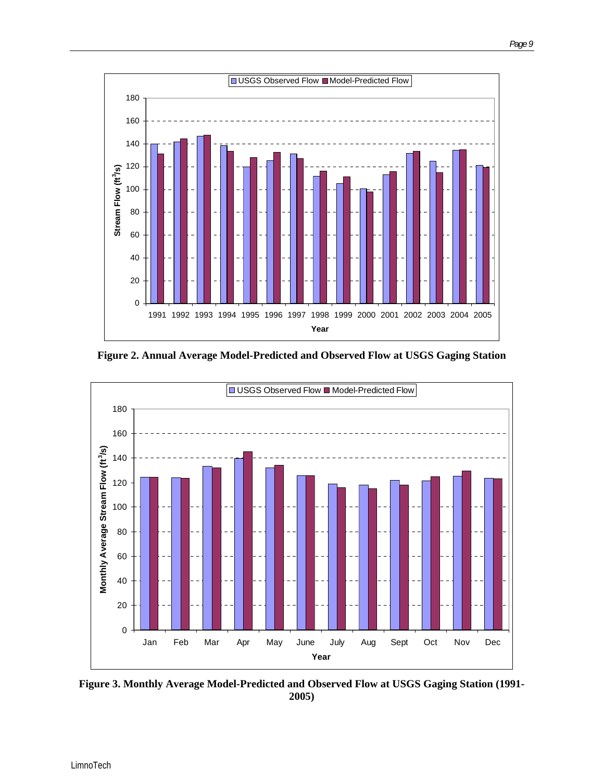

**Figure 2. Annual Average Model-Predicted and Observed Flow at USGS Gaging Station** 



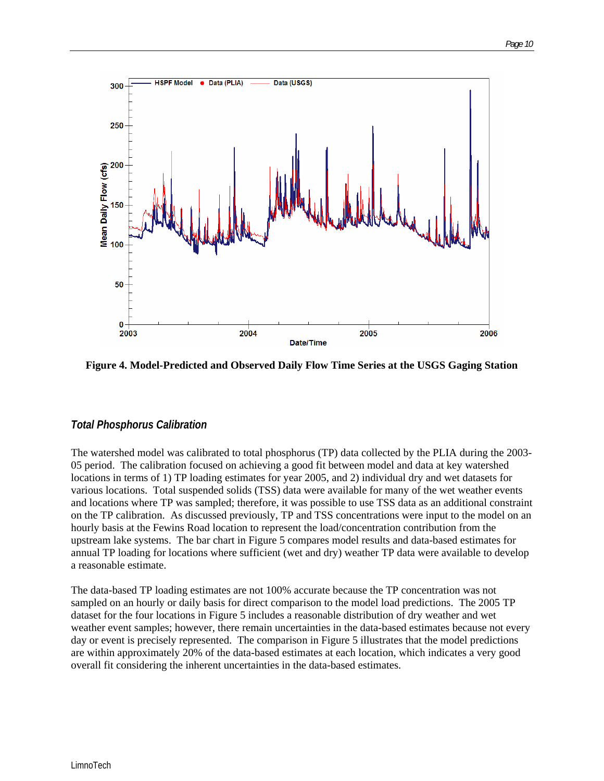

**Figure 4. Model-Predicted and Observed Daily Flow Time Series at the USGS Gaging Station** 

## *Total Phosphorus Calibration*

The watershed model was calibrated to total phosphorus (TP) data collected by the PLIA during the 2003- 05 period. The calibration focused on achieving a good fit between model and data at key watershed locations in terms of 1) TP loading estimates for year 2005, and 2) individual dry and wet datasets for various locations. Total suspended solids (TSS) data were available for many of the wet weather events and locations where TP was sampled; therefore, it was possible to use TSS data as an additional constraint on the TP calibration. As discussed previously, TP and TSS concentrations were input to the model on an hourly basis at the Fewins Road location to represent the load/concentration contribution from the upstream lake systems. The bar chart in Figure 5 compares model results and data-based estimates for annual TP loading for locations where sufficient (wet and dry) weather TP data were available to develop a reasonable estimate.

The data-based TP loading estimates are not 100% accurate because the TP concentration was not sampled on an hourly or daily basis for direct comparison to the model load predictions. The 2005 TP dataset for the four locations in Figure 5 includes a reasonable distribution of dry weather and wet weather event samples; however, there remain uncertainties in the data-based estimates because not every day or event is precisely represented. The comparison in Figure 5 illustrates that the model predictions are within approximately 20% of the data-based estimates at each location, which indicates a very good overall fit considering the inherent uncertainties in the data-based estimates.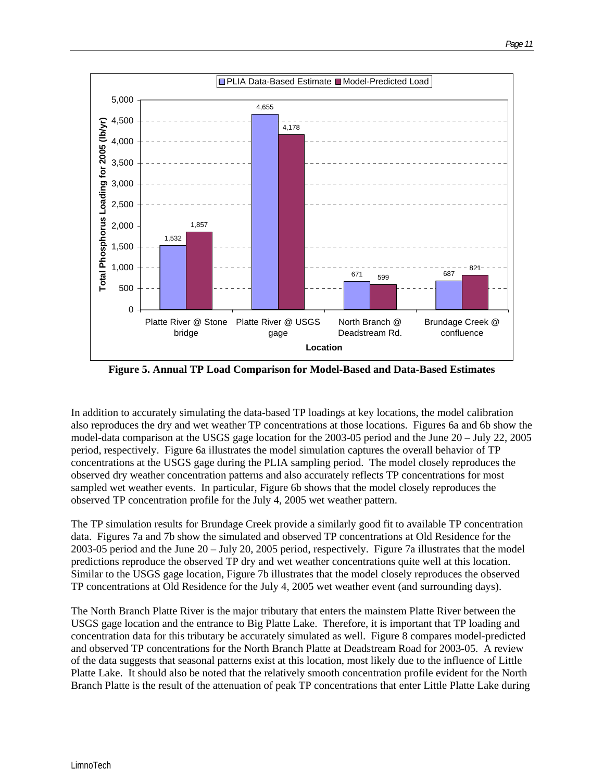

**Figure 5. Annual TP Load Comparison for Model-Based and Data-Based Estimates**

In addition to accurately simulating the data-based TP loadings at key locations, the model calibration also reproduces the dry and wet weather TP concentrations at those locations. Figures 6a and 6b show the model-data comparison at the USGS gage location for the 2003-05 period and the June 20 – July 22, 2005 period, respectively. Figure 6a illustrates the model simulation captures the overall behavior of TP concentrations at the USGS gage during the PLIA sampling period. The model closely reproduces the observed dry weather concentration patterns and also accurately reflects TP concentrations for most sampled wet weather events. In particular, Figure 6b shows that the model closely reproduces the observed TP concentration profile for the July 4, 2005 wet weather pattern.

The TP simulation results for Brundage Creek provide a similarly good fit to available TP concentration data. Figures 7a and 7b show the simulated and observed TP concentrations at Old Residence for the 2003-05 period and the June 20 – July 20, 2005 period, respectively. Figure 7a illustrates that the model predictions reproduce the observed TP dry and wet weather concentrations quite well at this location. Similar to the USGS gage location, Figure 7b illustrates that the model closely reproduces the observed TP concentrations at Old Residence for the July 4, 2005 wet weather event (and surrounding days).

The North Branch Platte River is the major tributary that enters the mainstem Platte River between the USGS gage location and the entrance to Big Platte Lake. Therefore, it is important that TP loading and concentration data for this tributary be accurately simulated as well. Figure 8 compares model-predicted and observed TP concentrations for the North Branch Platte at Deadstream Road for 2003-05. A review of the data suggests that seasonal patterns exist at this location, most likely due to the influence of Little Platte Lake. It should also be noted that the relatively smooth concentration profile evident for the North Branch Platte is the result of the attenuation of peak TP concentrations that enter Little Platte Lake during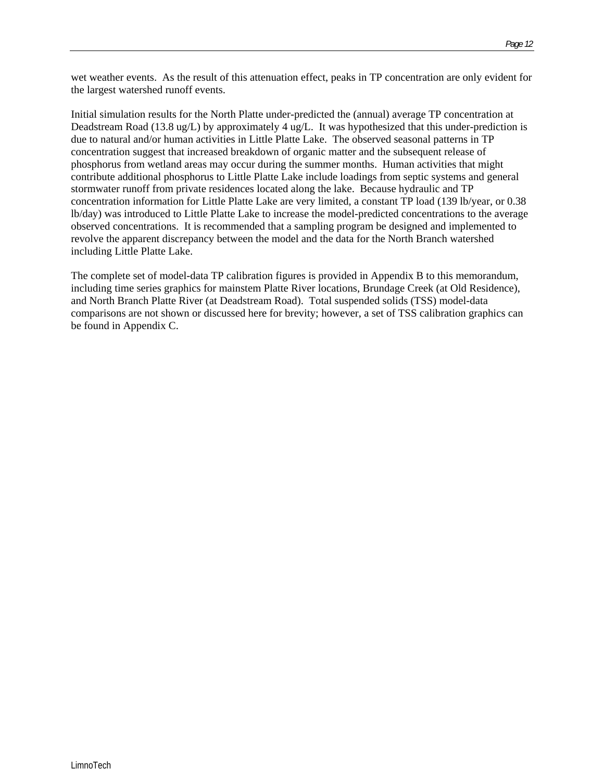wet weather events. As the result of this attenuation effect, peaks in TP concentration are only evident for the largest watershed runoff events.

Initial simulation results for the North Platte under-predicted the (annual) average TP concentration at Deadstream Road (13.8 ug/L) by approximately 4 ug/L. It was hypothesized that this under-prediction is due to natural and/or human activities in Little Platte Lake. The observed seasonal patterns in TP concentration suggest that increased breakdown of organic matter and the subsequent release of phosphorus from wetland areas may occur during the summer months. Human activities that might contribute additional phosphorus to Little Platte Lake include loadings from septic systems and general stormwater runoff from private residences located along the lake. Because hydraulic and TP concentration information for Little Platte Lake are very limited, a constant TP load (139 lb/year, or 0.38 lb/day) was introduced to Little Platte Lake to increase the model-predicted concentrations to the average observed concentrations. It is recommended that a sampling program be designed and implemented to revolve the apparent discrepancy between the model and the data for the North Branch watershed including Little Platte Lake.

The complete set of model-data TP calibration figures is provided in Appendix B to this memorandum, including time series graphics for mainstem Platte River locations, Brundage Creek (at Old Residence), and North Branch Platte River (at Deadstream Road). Total suspended solids (TSS) model-data comparisons are not shown or discussed here for brevity; however, a set of TSS calibration graphics can be found in Appendix C.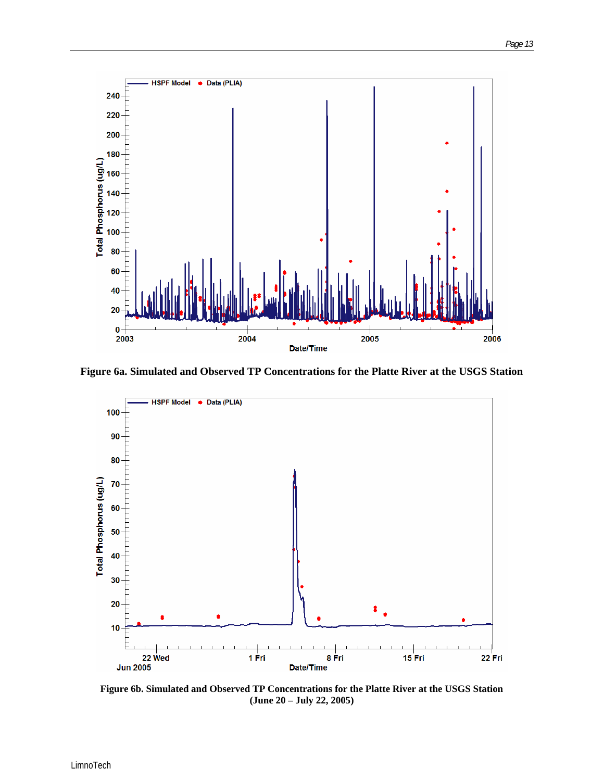

**Figure 6a. Simulated and Observed TP Concentrations for the Platte River at the USGS Station**



**Figure 6b. Simulated and Observed TP Concentrations for the Platte River at the USGS Station (June 20 – July 22, 2005)**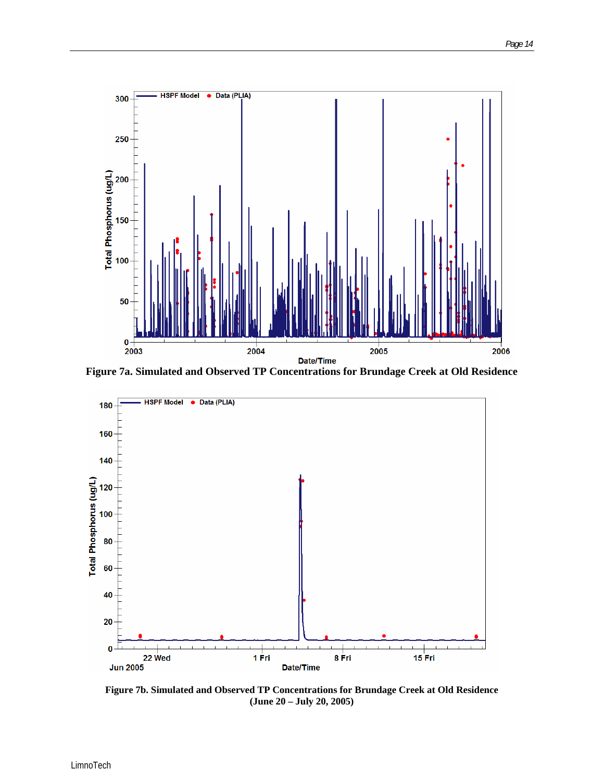

**Figure 7a. Simulated and Observed TP Concentrations for Brundage Creek at Old Residence**



**Figure 7b. Simulated and Observed TP Concentrations for Brundage Creek at Old Residence (June 20 – July 20, 2005)**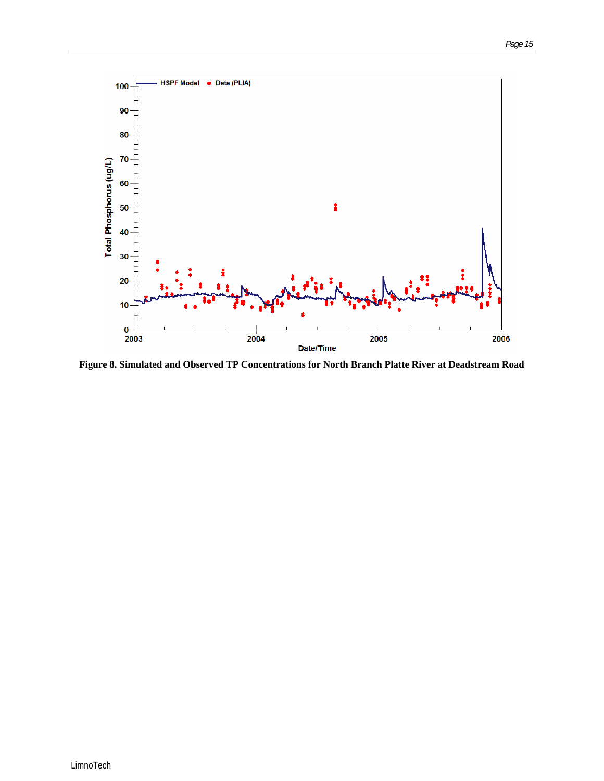

**Figure 8. Simulated and Observed TP Concentrations for North Branch Platte River at Deadstream Road**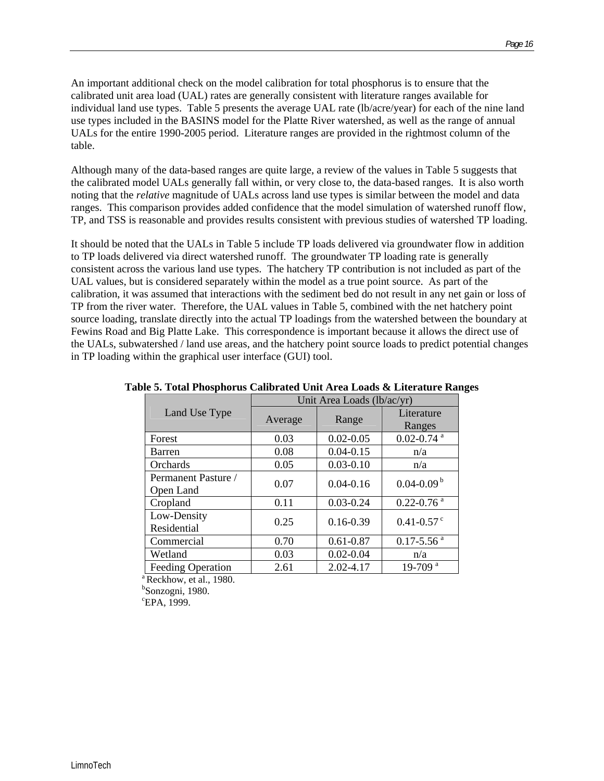An important additional check on the model calibration for total phosphorus is to ensure that the calibrated unit area load (UAL) rates are generally consistent with literature ranges available for individual land use types. Table 5 presents the average UAL rate (lb/acre/year) for each of the nine land use types included in the BASINS model for the Platte River watershed, as well as the range of annual UALs for the entire 1990-2005 period. Literature ranges are provided in the rightmost column of the table.

Although many of the data-based ranges are quite large, a review of the values in Table 5 suggests that the calibrated model UALs generally fall within, or very close to, the data-based ranges. It is also worth noting that the *relative* magnitude of UALs across land use types is similar between the model and data ranges. This comparison provides added confidence that the model simulation of watershed runoff flow, TP, and TSS is reasonable and provides results consistent with previous studies of watershed TP loading.

It should be noted that the UALs in Table 5 include TP loads delivered via groundwater flow in addition to TP loads delivered via direct watershed runoff. The groundwater TP loading rate is generally consistent across the various land use types. The hatchery TP contribution is not included as part of the UAL values, but is considered separately within the model as a true point source. As part of the calibration, it was assumed that interactions with the sediment bed do not result in any net gain or loss of TP from the river water. Therefore, the UAL values in Table 5, combined with the net hatchery point source loading, translate directly into the actual TP loadings from the watershed between the boundary at Fewins Road and Big Platte Lake. This correspondence is important because it allows the direct use of the UALs, subwatershed / land use areas, and the hatchery point source loads to predict potential changes in TP loading within the graphical user interface (GUI) tool.

|                                  |                  | Unit Area Loads (lb/ac/yr) |                            |  |  |  |
|----------------------------------|------------------|----------------------------|----------------------------|--|--|--|
| Land Use Type                    | Average<br>Range |                            | Literature<br>Ranges       |  |  |  |
| Forest                           | 0.03             | $0.02 - 0.05$              | $0.02 - 0.74$ <sup>a</sup> |  |  |  |
| Barren                           | 0.08             | $0.04 - 0.15$              | n/a                        |  |  |  |
| Orchards                         | 0.05             | $0.03 - 0.10$              | n/a                        |  |  |  |
| Permanent Pasture /<br>Open Land | 0.07             | $0.04 - 0.16$              | $0.04 - 0.09$ <sup>b</sup> |  |  |  |
| Cropland                         | 0.11             | $0.03 - 0.24$              | $0.22 - 0.76$ <sup>a</sup> |  |  |  |
| Low-Density<br>Residential       | 0.25             | $0.16 - 0.39$              | $0.41 - 0.57$ <sup>c</sup> |  |  |  |
| Commercial                       | 0.70             | $0.61 - 0.87$              | $0.17 - 5.56$ <sup>a</sup> |  |  |  |
| Wetland                          | 0.03             | $0.02 - 0.04$              | n/a                        |  |  |  |
| <b>Feeding Operation</b>         | 2.61             | $2.02 - 4.17$              | 19-709 $a$                 |  |  |  |

#### **Table 5. Total Phosphorus Calibrated Unit Area Loads & Literature Ranges**

<sup>a</sup> Reckhow, et al., 1980.

<sup>b</sup>Sonzogni, 1980.

c EPA, 1999.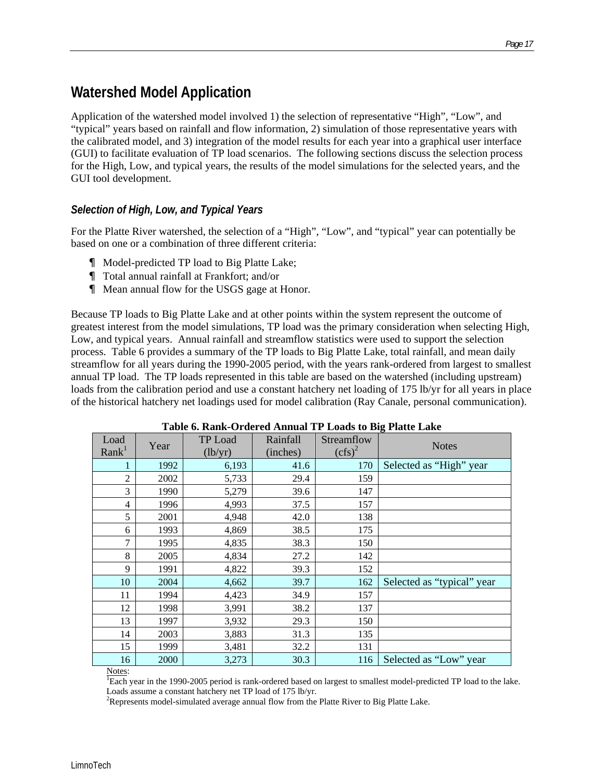# **Watershed Model Application**

Application of the watershed model involved 1) the selection of representative "High", "Low", and "typical" years based on rainfall and flow information, 2) simulation of those representative years with the calibrated model, and 3) integration of the model results for each year into a graphical user interface (GUI) to facilitate evaluation of TP load scenarios. The following sections discuss the selection process for the High, Low, and typical years, the results of the model simulations for the selected years, and the GUI tool development.

# *Selection of High, Low, and Typical Years*

For the Platte River watershed, the selection of a "High", "Low", and "typical" year can potentially be based on one or a combination of three different criteria:

- Model-predicted TP load to Big Platte Lake;
- Total annual rainfall at Frankfort; and/or
- Mean annual flow for the USGS gage at Honor.

Because TP loads to Big Platte Lake and at other points within the system represent the outcome of greatest interest from the model simulations, TP load was the primary consideration when selecting High, Low, and typical years. Annual rainfall and streamflow statistics were used to support the selection process. Table 6 provides a summary of the TP loads to Big Platte Lake, total rainfall, and mean daily streamflow for all years during the 1990-2005 period, with the years rank-ordered from largest to smallest annual TP load. The TP loads represented in this table are based on the watershed (including upstream) loads from the calibration period and use a constant hatchery net loading of 175 lb/yr for all years in place of the historical hatchery net loadings used for model calibration (Ray Canale, personal communication).

| Load<br>Rank <sup>1</sup> | Year | <b>TP</b> Load<br>(lb/yr) | Rainfall<br>(inches) | Streamflow<br>$(cfs)^2$ | <b>Notes</b>               |
|---------------------------|------|---------------------------|----------------------|-------------------------|----------------------------|
|                           | 1992 | 6,193                     | 41.6                 | 170                     | Selected as "High" year    |
| $\overline{2}$            | 2002 | 5,733                     | 29.4                 | 159                     |                            |
| 3                         | 1990 | 5,279                     | 39.6                 | 147                     |                            |
| $\overline{4}$            | 1996 | 4,993                     | 37.5                 | 157                     |                            |
| 5                         | 2001 | 4,948                     | 42.0                 | 138                     |                            |
| 6                         | 1993 | 4,869                     | 38.5                 | 175                     |                            |
| 7                         | 1995 | 4,835                     | 38.3                 | 150                     |                            |
| 8                         | 2005 | 4,834                     | 27.2                 | 142                     |                            |
| 9                         | 1991 | 4,822                     | 39.3                 | 152                     |                            |
| 10                        | 2004 | 4,662                     | 39.7                 | 162                     | Selected as "typical" year |
| 11                        | 1994 | 4,423                     | 34.9                 | 157                     |                            |
| 12                        | 1998 | 3,991                     | 38.2                 | 137                     |                            |
| 13                        | 1997 | 3,932                     | 29.3                 | 150                     |                            |
| 14                        | 2003 | 3,883                     | 31.3                 | 135                     |                            |
| 15                        | 1999 | 3,481                     | 32.2                 | 131                     |                            |
| 16                        | 2000 | 3,273                     | 30.3                 | 116                     | Selected as "Low" year     |

| Table 6. Rank-Ordered Annual TP Loads to Big Platte Lake |  |
|----------------------------------------------------------|--|
|----------------------------------------------------------|--|

Notes:

 $\overline{E}$ Each year in the 1990-2005 period is rank-ordered based on largest to smallest model-predicted TP load to the lake. Loads assume a constant hatchery net TP load of 175 lb/yr.

<sup>2</sup>Represents model-simulated average annual flow from the Platte River to Big Platte Lake.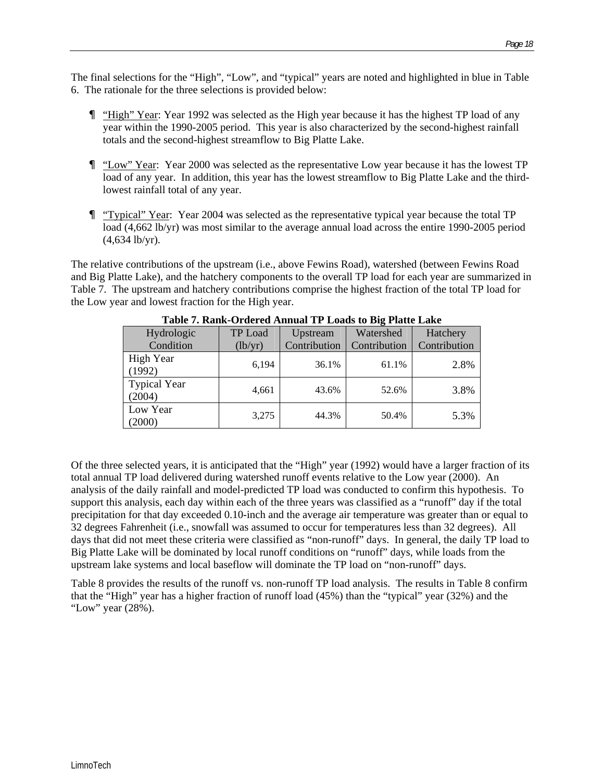The final selections for the "High", "Low", and "typical" years are noted and highlighted in blue in Table 6. The rationale for the three selections is provided below:

- "High" Year: Year 1992 was selected as the High year because it has the highest TP load of any year within the 1990-2005 period. This year is also characterized by the second-highest rainfall totals and the second-highest streamflow to Big Platte Lake.
- "Low" Year: Year 2000 was selected as the representative Low year because it has the lowest TP load of any year. In addition, this year has the lowest streamflow to Big Platte Lake and the thirdlowest rainfall total of any year.
- "Typical" Year: Year 2004 was selected as the representative typical year because the total TP load (4,662 lb/yr) was most similar to the average annual load across the entire 1990-2005 period (4,634 lb/yr).

The relative contributions of the upstream (i.e., above Fewins Road), watershed (between Fewins Road and Big Platte Lake), and the hatchery components to the overall TP load for each year are summarized in Table 7. The upstream and hatchery contributions comprise the highest fraction of the total TP load for the Low year and lowest fraction for the High year.

| Hydrologic                    | TP Load               | Upstream     | Watershed    | Hatchery     |
|-------------------------------|-----------------------|--------------|--------------|--------------|
| Condition                     | $\frac{1}{b\gamma r}$ | Contribution | Contribution | Contribution |
| High Year<br>(1992)           | 6,194                 | 36.1%        | 61.1%        | 2.8%         |
| <b>Typical Year</b><br>(2004) | 4,661                 | 43.6%        | 52.6%        | 3.8%         |
| Low Year<br>(2000)            | 3,275                 | 44.3%        | 50.4%        | 5.3%         |

**Table 7. Rank-Ordered Annual TP Loads to Big Platte Lake**

Of the three selected years, it is anticipated that the "High" year (1992) would have a larger fraction of its total annual TP load delivered during watershed runoff events relative to the Low year (2000). An analysis of the daily rainfall and model-predicted TP load was conducted to confirm this hypothesis. To support this analysis, each day within each of the three years was classified as a "runoff" day if the total precipitation for that day exceeded 0.10-inch and the average air temperature was greater than or equal to 32 degrees Fahrenheit (i.e., snowfall was assumed to occur for temperatures less than 32 degrees). All days that did not meet these criteria were classified as "non-runoff" days. In general, the daily TP load to Big Platte Lake will be dominated by local runoff conditions on "runoff" days, while loads from the upstream lake systems and local baseflow will dominate the TP load on "non-runoff" days.

Table 8 provides the results of the runoff vs. non-runoff TP load analysis. The results in Table 8 confirm that the "High" year has a higher fraction of runoff load (45%) than the "typical" year (32%) and the "Low" year (28%).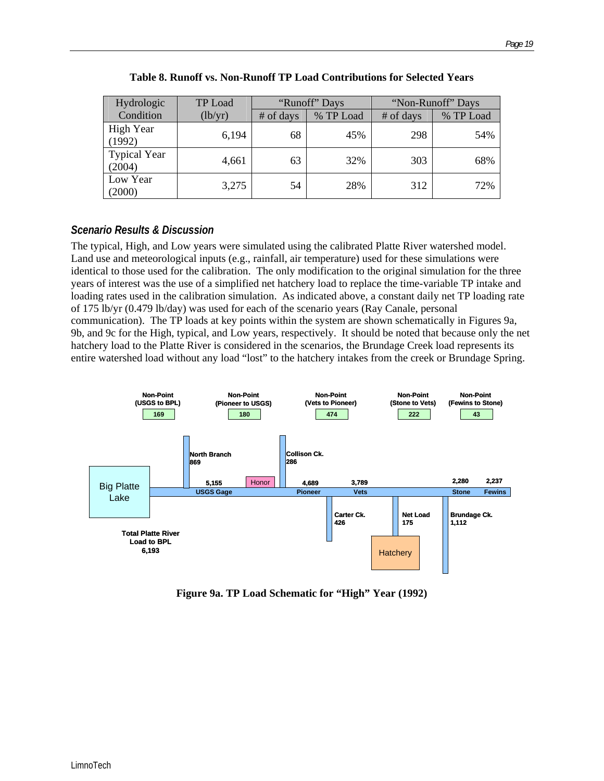| Hydrologic                    | TP Load               |           | "Runoff" Days | "Non-Runoff" Days |           |
|-------------------------------|-----------------------|-----------|---------------|-------------------|-----------|
| Condition                     | $\frac{1}{b\gamma r}$ | # of days | % TP Load     | # of days         | % TP Load |
| High Year<br>(1992)           | 6,194                 | 68        | 45%           | 298               | 54%       |
| <b>Typical Year</b><br>(2004) | 4,661                 | 63        | 32%           | 303               | 68%       |
| Low Year<br>(2000)            | 3,275                 | 54        | 28%           | 312               | 72%       |

**Table 8. Runoff vs. Non-Runoff TP Load Contributions for Selected Years** 

# *Scenario Results & Discussion*

The typical, High, and Low years were simulated using the calibrated Platte River watershed model. Land use and meteorological inputs (e.g., rainfall, air temperature) used for these simulations were identical to those used for the calibration. The only modification to the original simulation for the three years of interest was the use of a simplified net hatchery load to replace the time-variable TP intake and loading rates used in the calibration simulation. As indicated above, a constant daily net TP loading rate of 175 lb/yr (0.479 lb/day) was used for each of the scenario years (Ray Canale, personal communication). The TP loads at key points within the system are shown schematically in Figures 9a, 9b, and 9c for the High, typical, and Low years, respectively. It should be noted that because only the net hatchery load to the Platte River is considered in the scenarios, the Brundage Creek load represents its entire watershed load without any load "lost" to the hatchery intakes from the creek or Brundage Spring.



**Figure 9a. TP Load Schematic for "High" Year (1992)**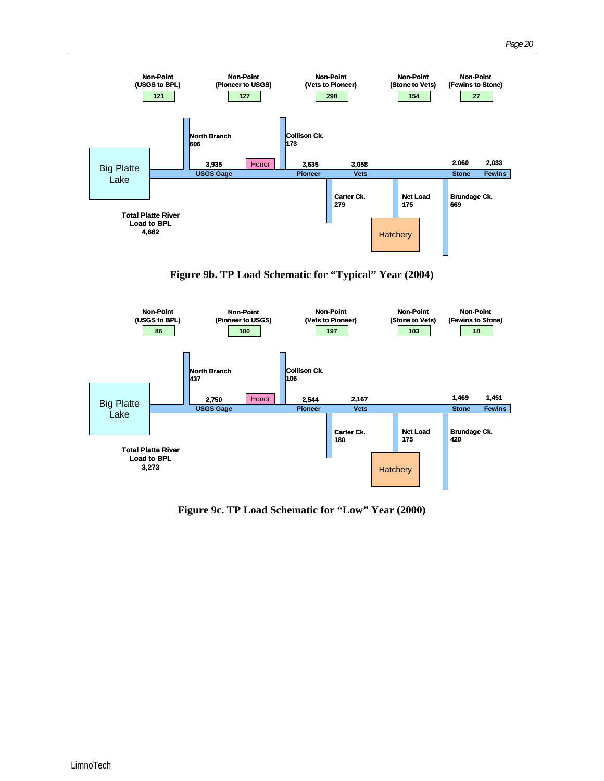

**Figure 9b. TP Load Schematic for "Typical" Year (2004)**



**Figure 9c. TP Load Schematic for "Low" Year (2000)**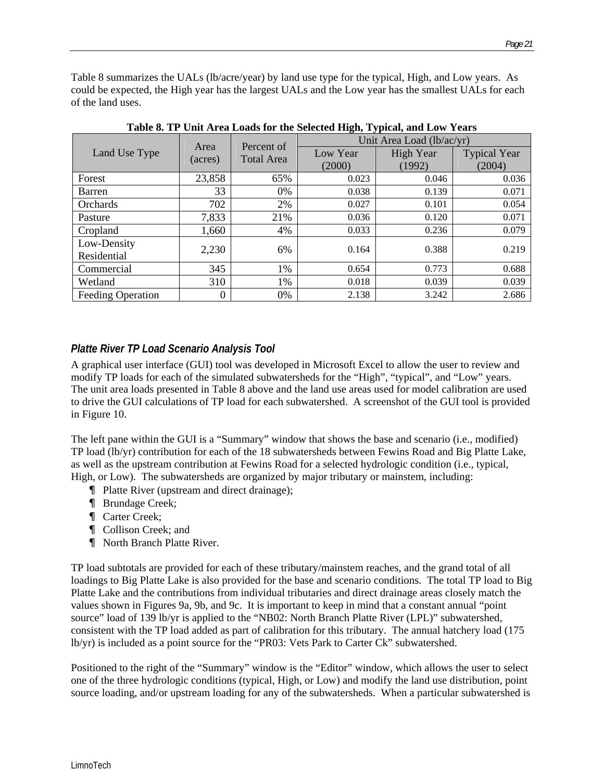Table 8 summarizes the UALs (lb/acre/year) by land use type for the typical, High, and Low years. As could be expected, the High year has the largest UALs and the Low year has the smallest UALs for each of the land uses.

|                          |                 | Percent of        | Unit Area Load (lb/ac/yr) |                  |                     |
|--------------------------|-----------------|-------------------|---------------------------|------------------|---------------------|
| Land Use Type            | Area<br>(acres) | <b>Total Area</b> | Low Year                  | <b>High Year</b> | <b>Typical Year</b> |
|                          |                 |                   | (2000)                    | (1992)           | (2004)              |
| Forest                   | 23,858          | 65%               | 0.023                     | 0.046            | 0.036               |
| Barren                   | 33              | 0%                | 0.038                     | 0.139            | 0.071               |
| Orchards                 | 702             | 2%                | 0.027                     | 0.101            | 0.054               |
| Pasture                  | 7,833           | 21%               | 0.036                     | 0.120            | 0.071               |
| Cropland                 | 1,660           | 4%                | 0.033                     | 0.236            | 0.079               |
| Low-Density              |                 |                   |                           |                  |                     |
| Residential              | 2,230           | 6%                | 0.164                     | 0.388            | 0.219               |
| Commercial               | 345             | 1%                | 0.654                     | 0.773            | 0.688               |
| Wetland                  | 310             | 1%                | 0.018                     | 0.039            | 0.039               |
| <b>Feeding Operation</b> | 0               | 0%                | 2.138                     | 3.242            | 2.686               |

**Table 8. TP Unit Area Loads for the Selected High, Typical, and Low Years**

## *Platte River TP Load Scenario Analysis Tool*

A graphical user interface (GUI) tool was developed in Microsoft Excel to allow the user to review and modify TP loads for each of the simulated subwatersheds for the "High", "typical", and "Low" years. The unit area loads presented in Table 8 above and the land use areas used for model calibration are used to drive the GUI calculations of TP load for each subwatershed. A screenshot of the GUI tool is provided in Figure 10.

The left pane within the GUI is a "Summary" window that shows the base and scenario (i.e., modified) TP load (lb/yr) contribution for each of the 18 subwatersheds between Fewins Road and Big Platte Lake, as well as the upstream contribution at Fewins Road for a selected hydrologic condition (i.e., typical, High, or Low). The subwatersheds are organized by major tributary or mainstem, including:

- Platte River (upstream and direct drainage);
- Brundage Creek;
- Carter Creek;
- Collison Creek: and
- North Branch Platte River.

TP load subtotals are provided for each of these tributary/mainstem reaches, and the grand total of all loadings to Big Platte Lake is also provided for the base and scenario conditions. The total TP load to Big Platte Lake and the contributions from individual tributaries and direct drainage areas closely match the values shown in Figures 9a, 9b, and 9c. It is important to keep in mind that a constant annual "point source" load of 139 lb/yr is applied to the "NB02: North Branch Platte River (LPL)" subwatershed, consistent with the TP load added as part of calibration for this tributary. The annual hatchery load (175 lb/yr) is included as a point source for the "PR03: Vets Park to Carter Ck" subwatershed.

Positioned to the right of the "Summary" window is the "Editor" window, which allows the user to select one of the three hydrologic conditions (typical, High, or Low) and modify the land use distribution, point source loading, and/or upstream loading for any of the subwatersheds. When a particular subwatershed is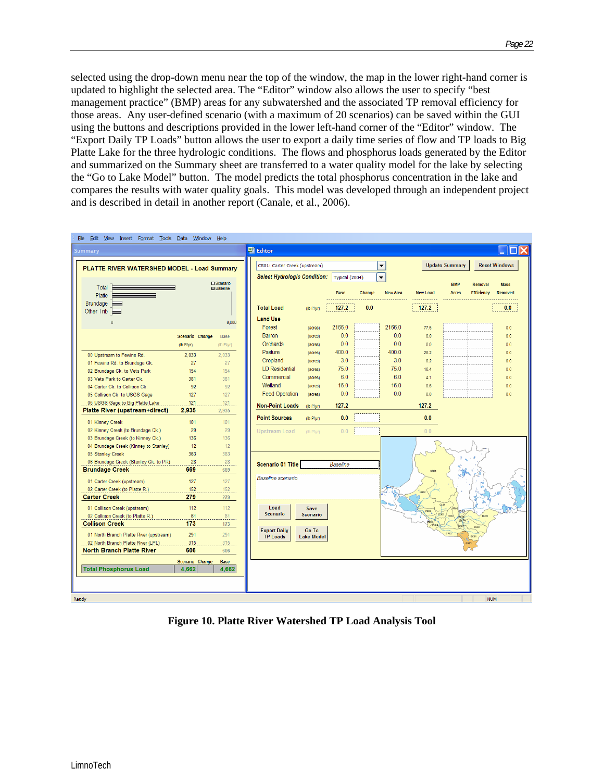selected using the drop-down menu near the top of the window, the map in the lower right-hand corner is updated to highlight the selected area. The "Editor" window also allows the user to specify "best management practice" (BMP) areas for any subwatershed and the associated TP removal efficiency for those areas. Any user-defined scenario (with a maximum of 20 scenarios) can be saved within the GUI using the buttons and descriptions provided in the lower left-hand corner of the "Editor" window. The "Export Daily TP Loads" button allows the user to export a daily time series of flow and TP loads to Big Platte Lake for the three hydrologic conditions. The flows and phosphorus loads generated by the Editor and summarized on the Summary sheet are transferred to a water quality model for the lake by selecting the "Go to Lake Model" button. The model predicts the total phosphorus concentration in the lake and compares the results with water quality goals. This model was developed through an independent project and is described in detail in another report (Canale, et al., 2006).



**Figure 10. Platte River Watershed TP Load Analysis Tool**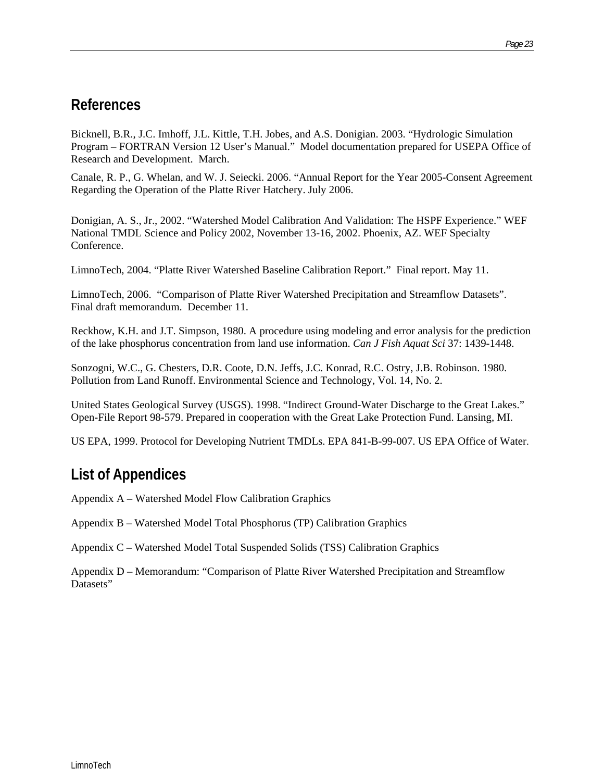# **References**

Bicknell, B.R., J.C. Imhoff, J.L. Kittle, T.H. Jobes, and A.S. Donigian. 2003. "Hydrologic Simulation Program – FORTRAN Version 12 User's Manual." Model documentation prepared for USEPA Office of Research and Development. March.

Canale, R. P., G. Whelan, and W. J. Seiecki. 2006. "Annual Report for the Year 2005-Consent Agreement Regarding the Operation of the Platte River Hatchery. July 2006.

Donigian, A. S., Jr., 2002. "Watershed Model Calibration And Validation: The HSPF Experience." WEF National TMDL Science and Policy 2002, November 13-16, 2002. Phoenix, AZ. WEF Specialty Conference.

LimnoTech, 2004. "Platte River Watershed Baseline Calibration Report." Final report. May 11.

LimnoTech, 2006. "Comparison of Platte River Watershed Precipitation and Streamflow Datasets". Final draft memorandum. December 11.

Reckhow, K.H. and J.T. Simpson, 1980. A procedure using modeling and error analysis for the prediction of the lake phosphorus concentration from land use information. *Can J Fish Aquat Sci* 37: 1439-1448.

Sonzogni, W.C., G. Chesters, D.R. Coote, D.N. Jeffs, J.C. Konrad, R.C. Ostry, J.B. Robinson. 1980. Pollution from Land Runoff. Environmental Science and Technology, Vol. 14, No. 2.

United States Geological Survey (USGS). 1998. "Indirect Ground-Water Discharge to the Great Lakes." Open-File Report 98-579. Prepared in cooperation with the Great Lake Protection Fund. Lansing, MI.

US EPA, 1999. Protocol for Developing Nutrient TMDLs. EPA 841-B-99-007. US EPA Office of Water.

# **List of Appendices**

- Appendix A Watershed Model Flow Calibration Graphics
- Appendix B Watershed Model Total Phosphorus (TP) Calibration Graphics

Appendix C – Watershed Model Total Suspended Solids (TSS) Calibration Graphics

Appendix D – Memorandum: "Comparison of Platte River Watershed Precipitation and Streamflow Datasets"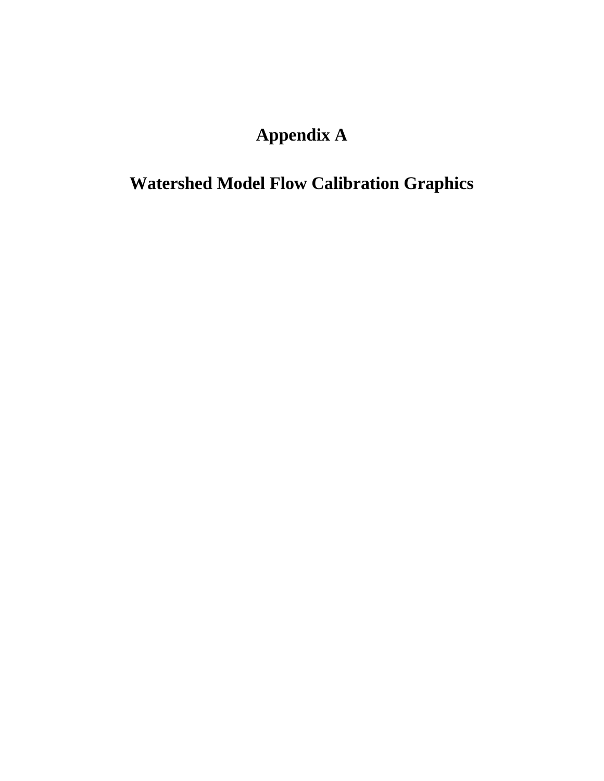# **Appendix A**

# **Watershed Model Flow Calibration Graphics**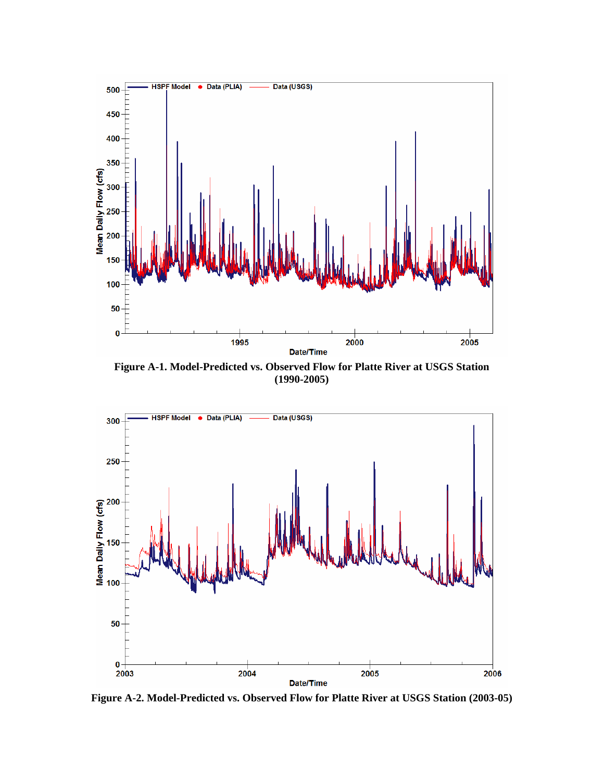

**Figure A-1. Model-Predicted vs. Observed Flow for Platte River at USGS Station (1990-2005)** 



**Figure A-2. Model-Predicted vs. Observed Flow for Platte River at USGS Station (2003-05)**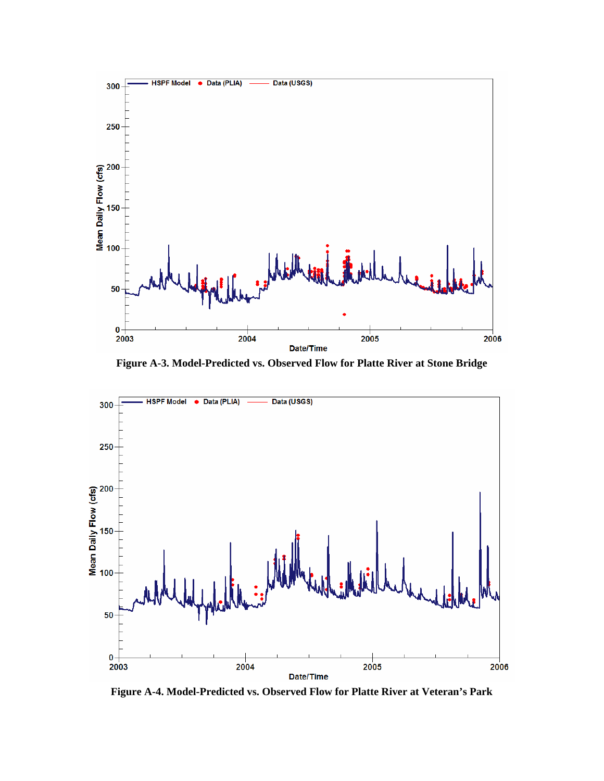

**Figure A-3. Model-Predicted vs. Observed Flow for Platte River at Stone Bridge** 



**Figure A-4. Model-Predicted vs. Observed Flow for Platte River at Veteran's Park**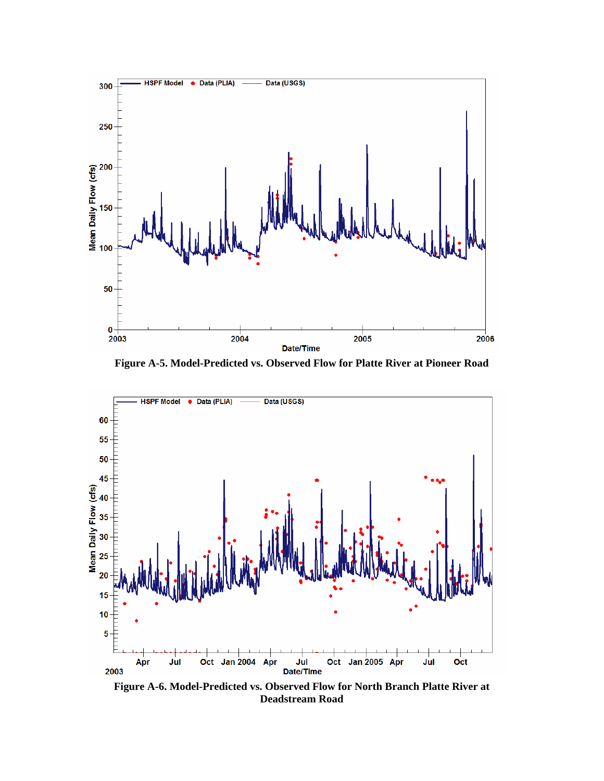

**Figure A-5. Model-Predicted vs. Observed Flow for Platte River at Pioneer Road** 



**Figure A-6. Model-Predicted vs. Observed Flow for North Branch Platte River at Deadstream Road**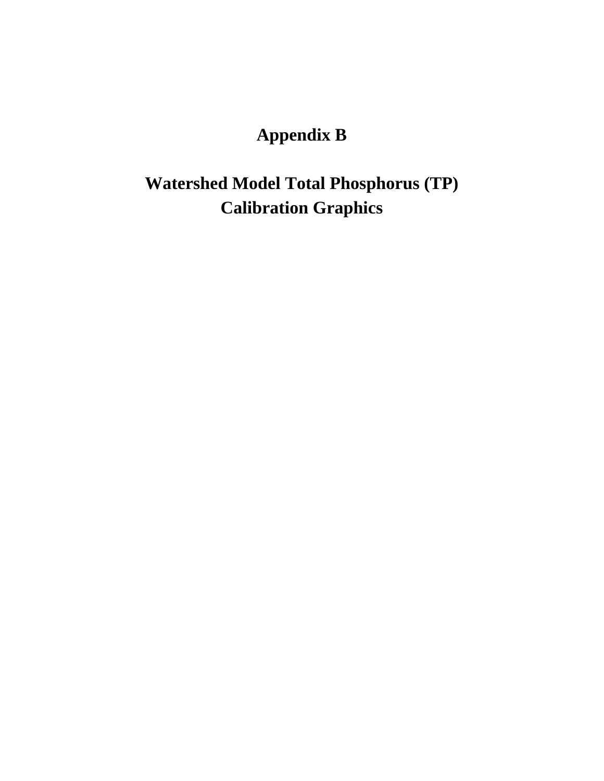# **Appendix B**

**Watershed Model Total Phosphorus (TP) Calibration Graphics**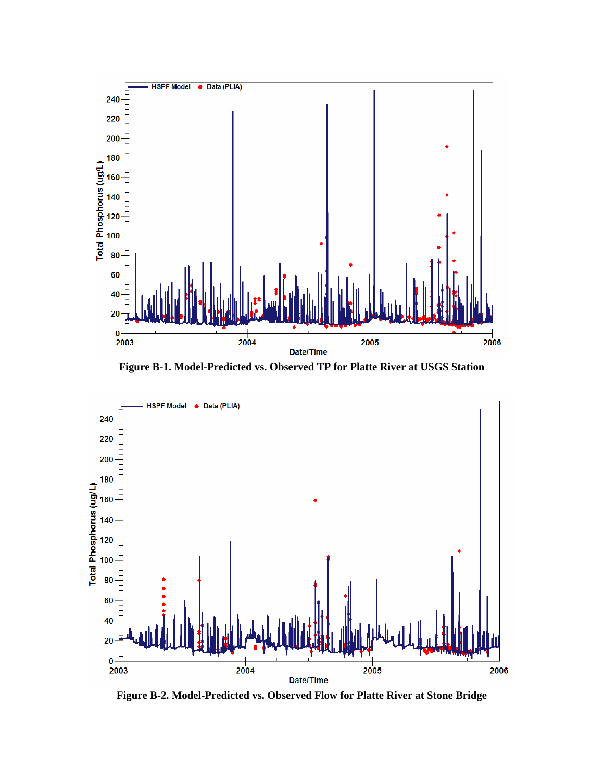

**Figure B-1. Model-Predicted vs. Observed TP for Platte River at USGS Station** 



**Figure B-2. Model-Predicted vs. Observed Flow for Platte River at Stone Bridge**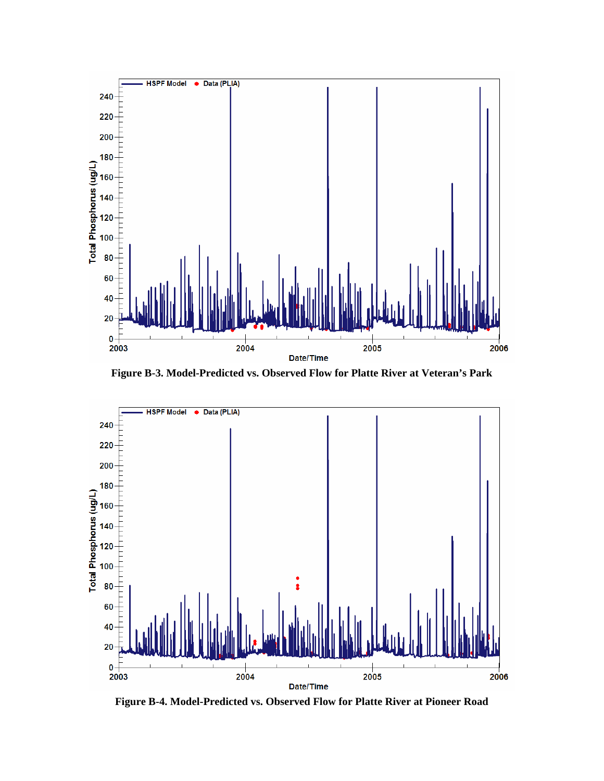

**Figure B-3. Model-Predicted vs. Observed Flow for Platte River at Veteran's Park** 



**Figure B-4. Model-Predicted vs. Observed Flow for Platte River at Pioneer Road**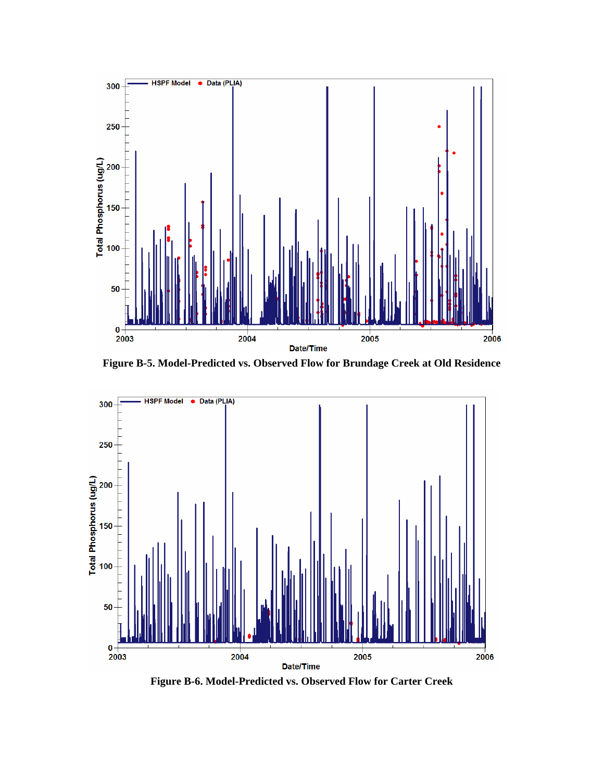

**Figure B-5. Model-Predicted vs. Observed Flow for Brundage Creek at Old Residence** 



**Figure B-6. Model-Predicted vs. Observed Flow for Carter Creek**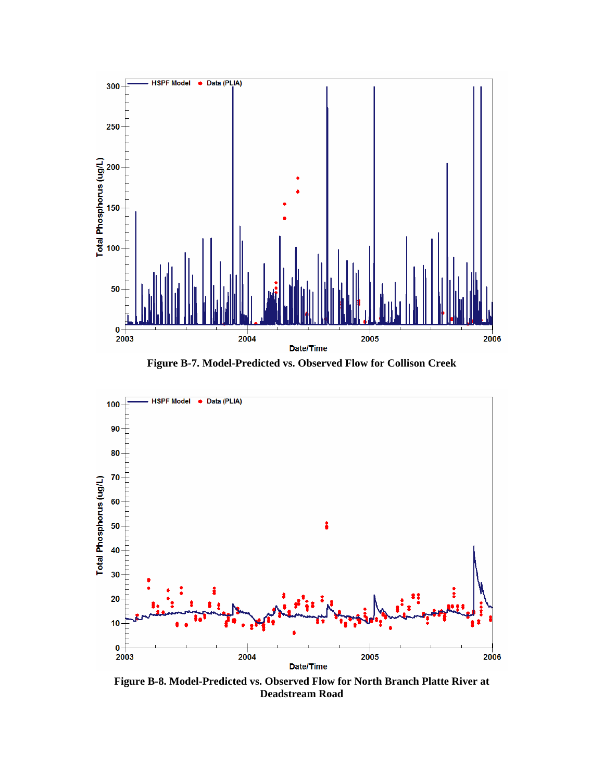

**Figure B-7. Model-Predicted vs. Observed Flow for Collison Creek** 



**Figure B-8. Model-Predicted vs. Observed Flow for North Branch Platte River at Deadstream Road**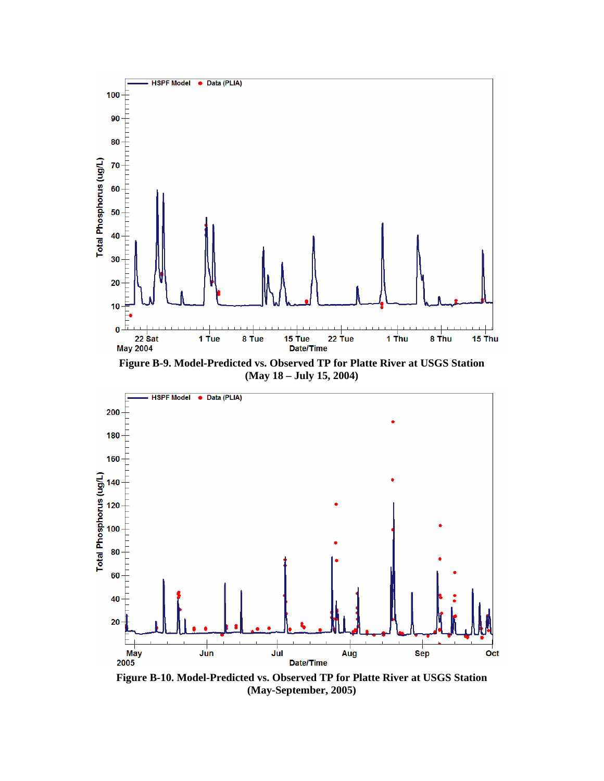

**Figure B-9. Model-Predicted vs. Observed TP for Platte River at USGS Station (May 18 – July 15, 2004)** 



**Figure B-10. Model-Predicted vs. Observed TP for Platte River at USGS Station (May-September, 2005)**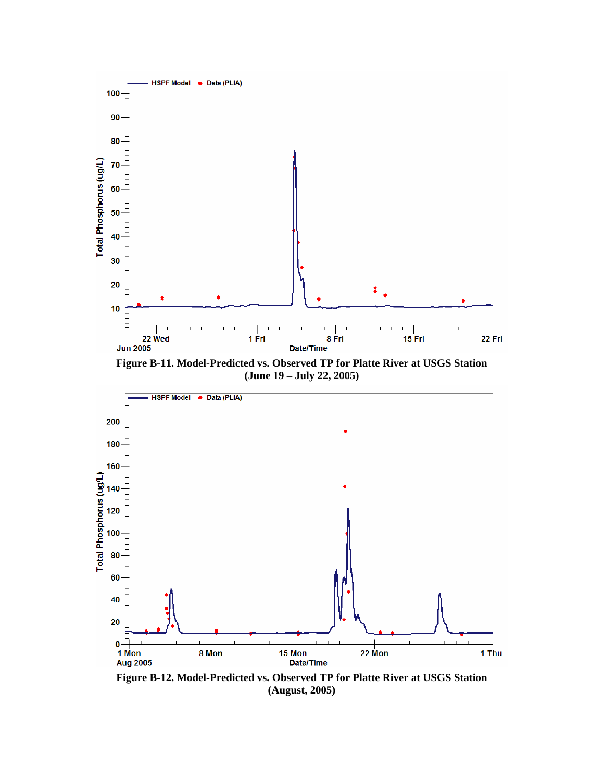

**Figure B-11. Model-Predicted vs. Observed TP for Platte River at USGS Station (June 19 – July 22, 2005)** 



**Figure B-12. Model-Predicted vs. Observed TP for Platte River at USGS Station (August, 2005)**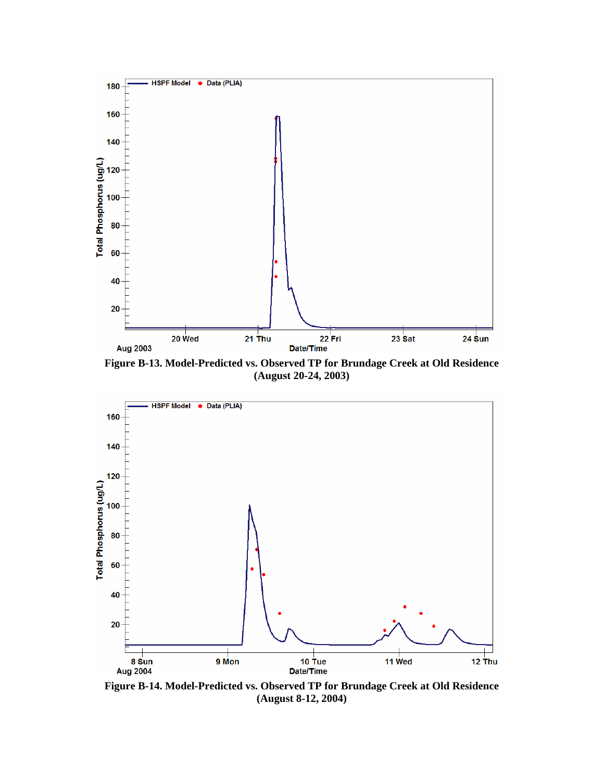

**Figure B-13. Model-Predicted vs. Observed TP for Brundage Creek at Old Residence (August 20-24, 2003)** 



**Figure B-14. Model-Predicted vs. Observed TP for Brundage Creek at Old Residence (August 8-12, 2004)**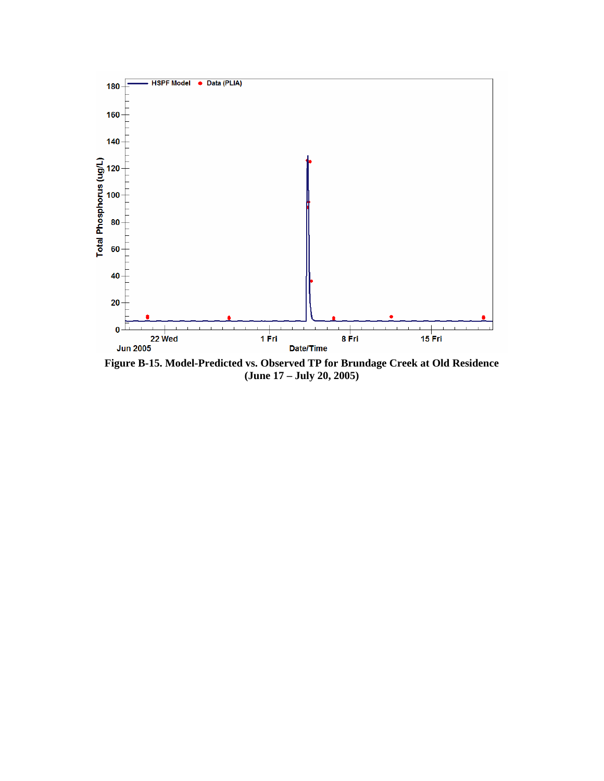

**Figure B-15. Model-Predicted vs. Observed TP for Brundage Creek at Old Residence (June 17 – July 20, 2005)**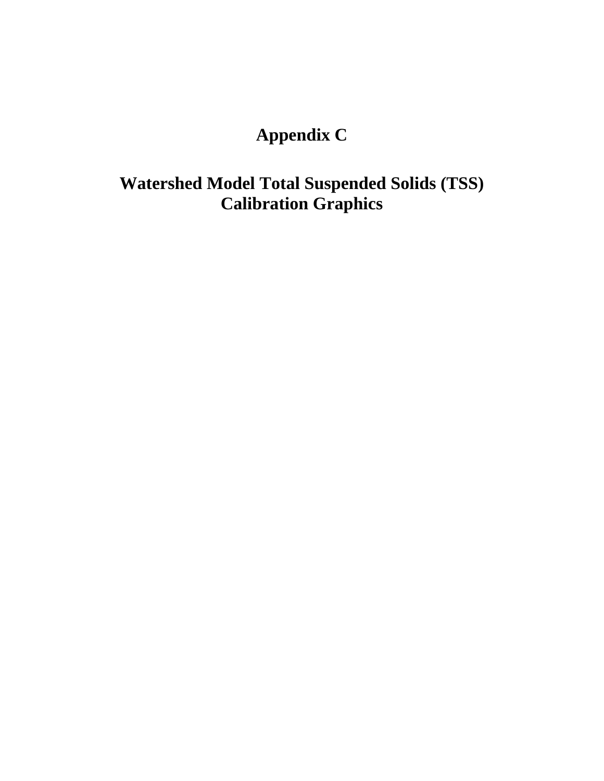# **Appendix C**

# **Watershed Model Total Suspended Solids (TSS) Calibration Graphics**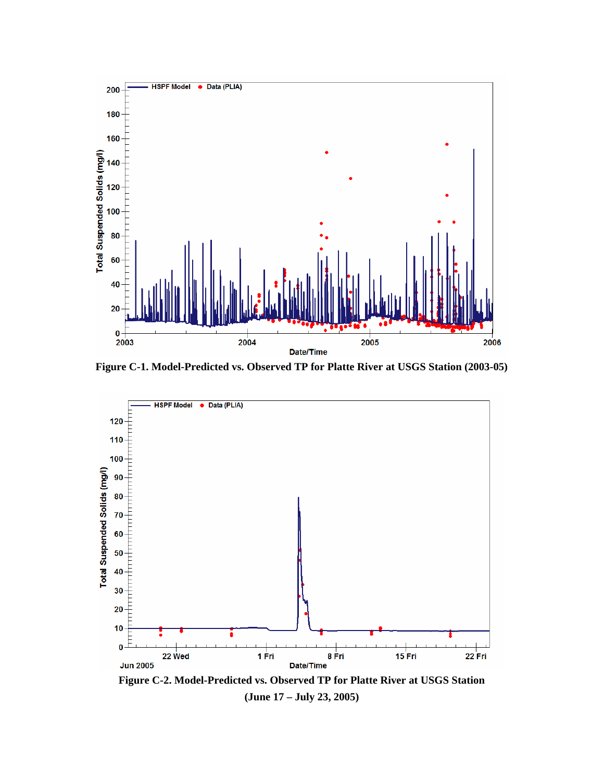

**Figure C-1. Model-Predicted vs. Observed TP for Platte River at USGS Station (2003-05)** 



**Figure C-2. Model-Predicted vs. Observed TP for Platte River at USGS Station (June 17 – July 23, 2005)**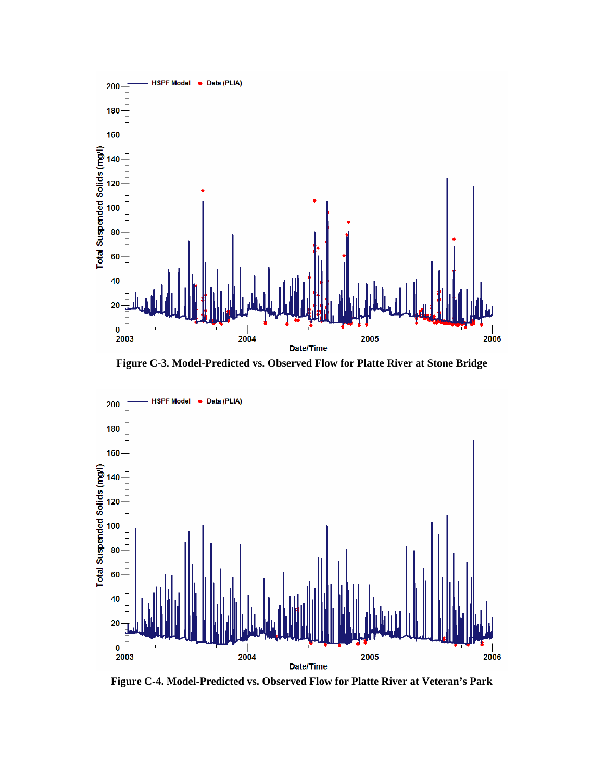

**Figure C-3. Model-Predicted vs. Observed Flow for Platte River at Stone Bridge** 



**Figure C-4. Model-Predicted vs. Observed Flow for Platte River at Veteran's Park**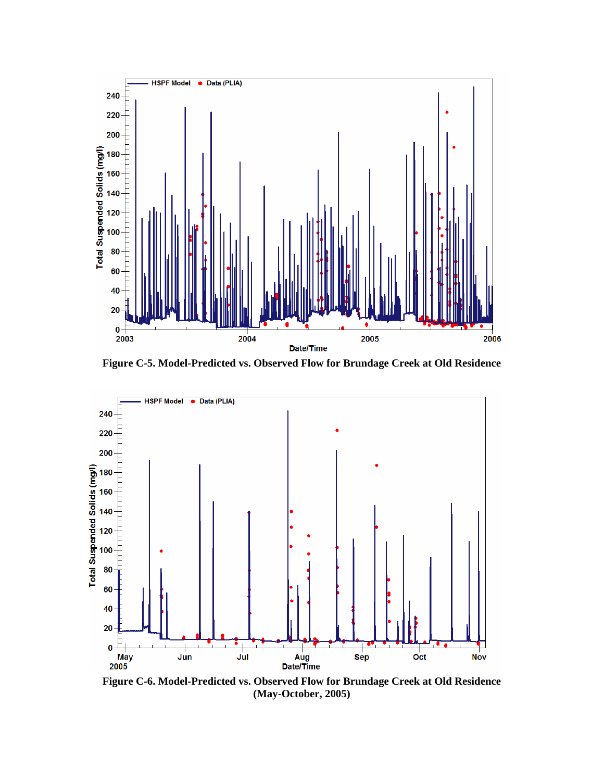

**Figure C-5. Model-Predicted vs. Observed Flow for Brundage Creek at Old Residence** 



**Figure C-6. Model-Predicted vs. Observed Flow for Brundage Creek at Old Residence (May-October, 2005)**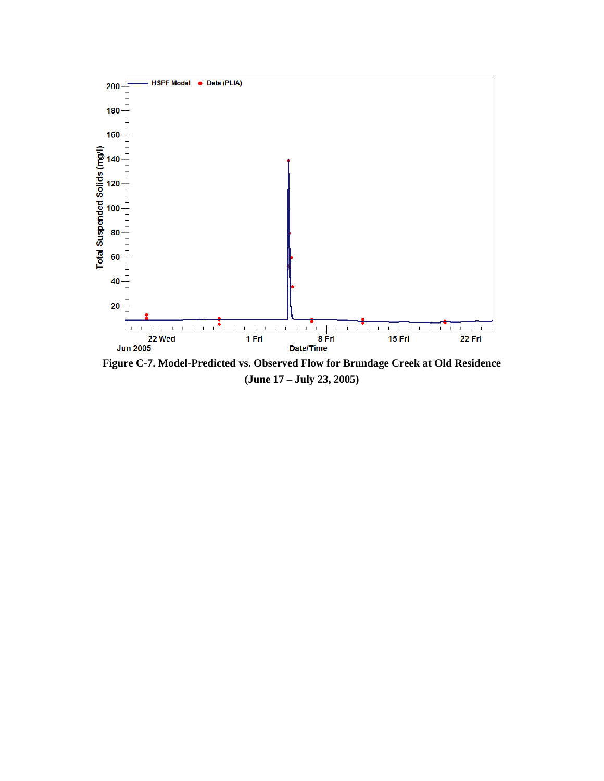

**Figure C-7. Model-Predicted vs. Observed Flow for Brundage Creek at Old Residence (June 17 – July 23, 2005)**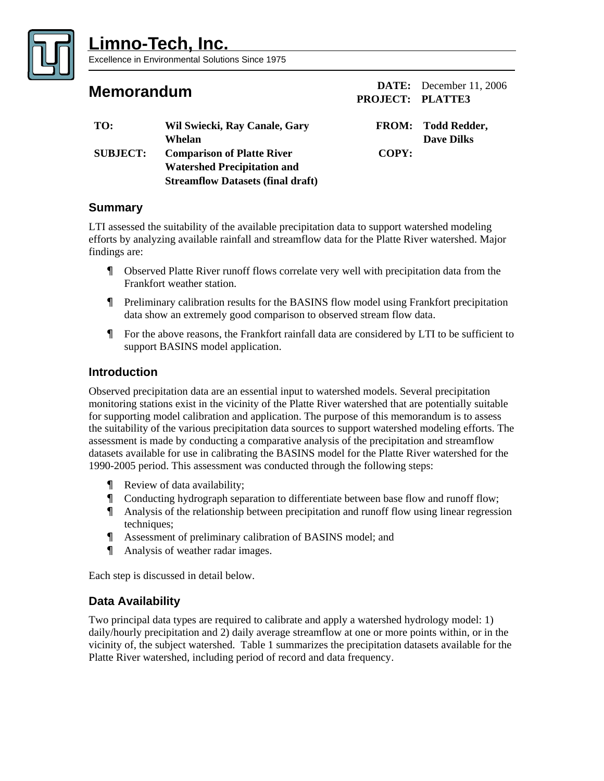

Excellence in Environmental Solutions Since 1975

**DATE:** December 11, 2006 **Memorandum PROJECT: PLATTE3** 

**FROM: Todd Redder, Dave Dilks COPY:**

# **TO: Wil Swiecki, Ray Canale, Gary Whelan SUBJECT: Comparison of Platte River Watershed Precipitation and Streamflow Datasets (final draft)**

# **Summary**

LTI assessed the suitability of the available precipitation data to support watershed modeling efforts by analyzing available rainfall and streamflow data for the Platte River watershed. Major findings are:

- Observed Platte River runoff flows correlate very well with precipitation data from the Frankfort weather station.
- Preliminary calibration results for the BASINS flow model using Frankfort precipitation data show an extremely good comparison to observed stream flow data.
- For the above reasons, the Frankfort rainfall data are considered by LTI to be sufficient to support BASINS model application.

# **Introduction**

Observed precipitation data are an essential input to watershed models. Several precipitation monitoring stations exist in the vicinity of the Platte River watershed that are potentially suitable for supporting model calibration and application. The purpose of this memorandum is to assess the suitability of the various precipitation data sources to support watershed modeling efforts. The assessment is made by conducting a comparative analysis of the precipitation and streamflow datasets available for use in calibrating the BASINS model for the Platte River watershed for the 1990-2005 period. This assessment was conducted through the following steps:

- Review of data availability;
- Conducting hydrograph separation to differentiate between base flow and runoff flow;
- Analysis of the relationship between precipitation and runoff flow using linear regression techniques;
- Assessment of preliminary calibration of BASINS model; and
- Analysis of weather radar images.

Each step is discussed in detail below.

# **Data Availability**

Two principal data types are required to calibrate and apply a watershed hydrology model: 1) daily/hourly precipitation and 2) daily average streamflow at one or more points within, or in the vicinity of, the subject watershed. Table 1 summarizes the precipitation datasets available for the Platte River watershed, including period of record and data frequency.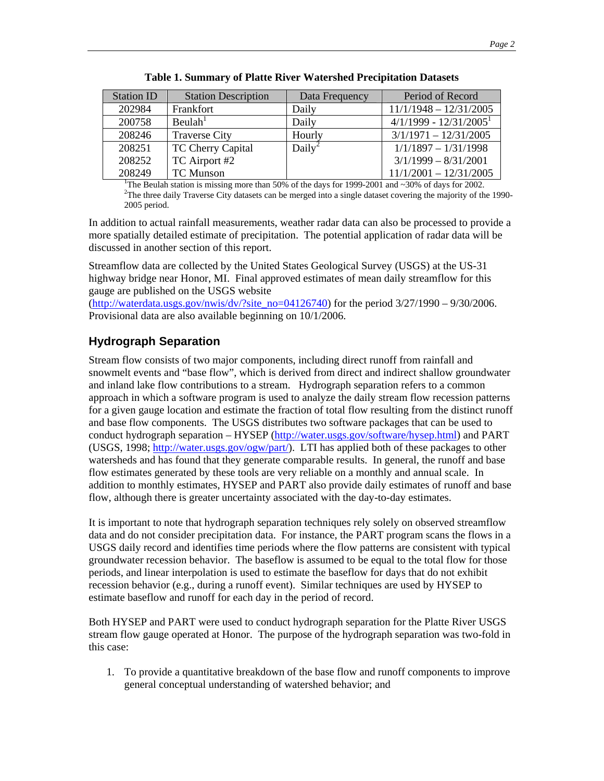| <b>Station ID</b>                                                                                                   | <b>Station Description</b> | Data Frequency     | Period of Record                     |  |  |
|---------------------------------------------------------------------------------------------------------------------|----------------------------|--------------------|--------------------------------------|--|--|
| 202984                                                                                                              | Frankfort                  | Daily              | $11/1/1948 - 12/31/2005$             |  |  |
| 200758                                                                                                              | Beulah <sup>1</sup>        | Daily              | $4/1/1999 - 12/31/2005$ <sup>1</sup> |  |  |
| 208246                                                                                                              | <b>Traverse City</b>       | Hourly             | $3/1/1971 - 12/31/2005$              |  |  |
| 208251                                                                                                              | TC Cherry Capital          | Daily <sup>2</sup> | $1/1/1897 - 1/31/1998$               |  |  |
| 208252                                                                                                              | TC Airport #2              |                    | $3/1/1999 - 8/31/2001$               |  |  |
| 208249                                                                                                              | <b>TC Munson</b>           |                    | $11/1/2001 - 12/31/2005$             |  |  |
| <sup>1</sup> The Beulah station is missing more than 50% of the days for 1999-2001 and $\sim$ 30% of days for 2002. |                            |                    |                                      |  |  |

**Table 1. Summary of Platte River Watershed Precipitation Datasets** 

<sup>2</sup>The three daily Traverse City datasets can be merged into a single dataset covering the majority of the 1990-2005 period.

In addition to actual rainfall measurements, weather radar data can also be processed to provide a more spatially detailed estimate of precipitation. The potential application of radar data will be discussed in another section of this report.

Streamflow data are collected by the United States Geological Survey (USGS) at the US-31 highway bridge near Honor, MI. Final approved estimates of mean daily streamflow for this gauge are published on the USGS website

([http://waterdata.usgs.gov/nwis/dv/?site\\_no=04126740](http://waterdata.usgs.gov/nwis/dv/?site_no=04126740)) for the period 3/27/1990 – 9/30/2006. Provisional data are also available beginning on 10/1/2006.

# **Hydrograph Separation**

Stream flow consists of two major components, including direct runoff from rainfall and snowmelt events and "base flow", which is derived from direct and indirect shallow groundwater and inland lake flow contributions to a stream. Hydrograph separation refers to a common approach in which a software program is used to analyze the daily stream flow recession patterns for a given gauge location and estimate the fraction of total flow resulting from the distinct runoff and base flow components. The USGS distributes two software packages that can be used to conduct hydrograph separation – HYSEP [\(http://water.usgs.gov/software/hysep.html](http://water.usgs.gov/software/hysep.html)) and PART (USGS, 1998; [http://water.usgs.gov/ogw/part/\)](http://water.usgs.gov/ogw/part/). LTI has applied both of these packages to other watersheds and has found that they generate comparable results. In general, the runoff and base flow estimates generated by these tools are very reliable on a monthly and annual scale. In addition to monthly estimates, HYSEP and PART also provide daily estimates of runoff and base flow, although there is greater uncertainty associated with the day-to-day estimates.

It is important to note that hydrograph separation techniques rely solely on observed streamflow data and do not consider precipitation data. For instance, the PART program scans the flows in a USGS daily record and identifies time periods where the flow patterns are consistent with typical groundwater recession behavior. The baseflow is assumed to be equal to the total flow for those periods, and linear interpolation is used to estimate the baseflow for days that do not exhibit recession behavior (e.g., during a runoff event). Similar techniques are used by HYSEP to estimate baseflow and runoff for each day in the period of record.

Both HYSEP and PART were used to conduct hydrograph separation for the Platte River USGS stream flow gauge operated at Honor. The purpose of the hydrograph separation was two-fold in this case:

1. To provide a quantitative breakdown of the base flow and runoff components to improve general conceptual understanding of watershed behavior; and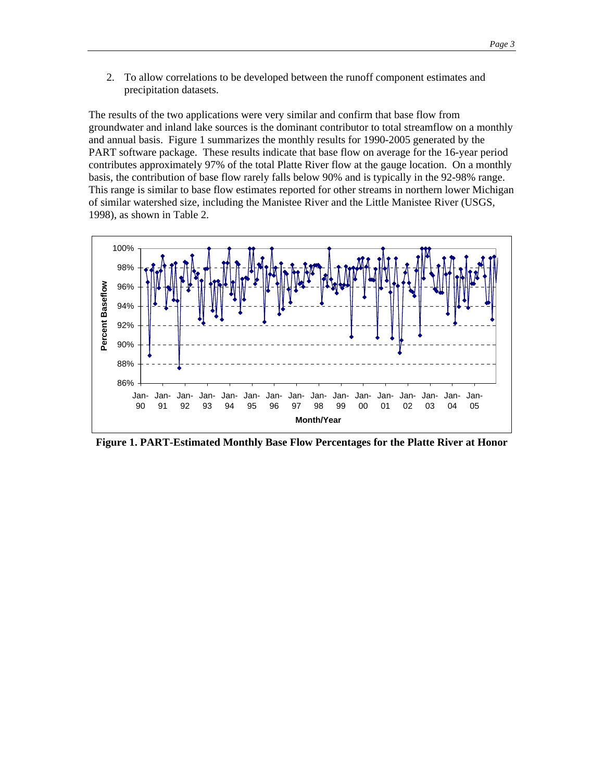2. To allow correlations to be developed between the runoff component estimates and precipitation datasets.

The results of the two applications were very similar and confirm that base flow from groundwater and inland lake sources is the dominant contributor to total streamflow on a monthly and annual basis. Figure 1 summarizes the monthly results for 1990-2005 generated by the PART software package. These results indicate that base flow on average for the 16-year period contributes approximately 97% of the total Platte River flow at the gauge location. On a monthly basis, the contribution of base flow rarely falls below 90% and is typically in the 92-98% range. This range is similar to base flow estimates reported for other streams in northern lower Michigan of similar watershed size, including the Manistee River and the Little Manistee River (USGS, 1998), as shown in Table 2.



**Figure 1. PART-Estimated Monthly Base Flow Percentages for the Platte River at Honor**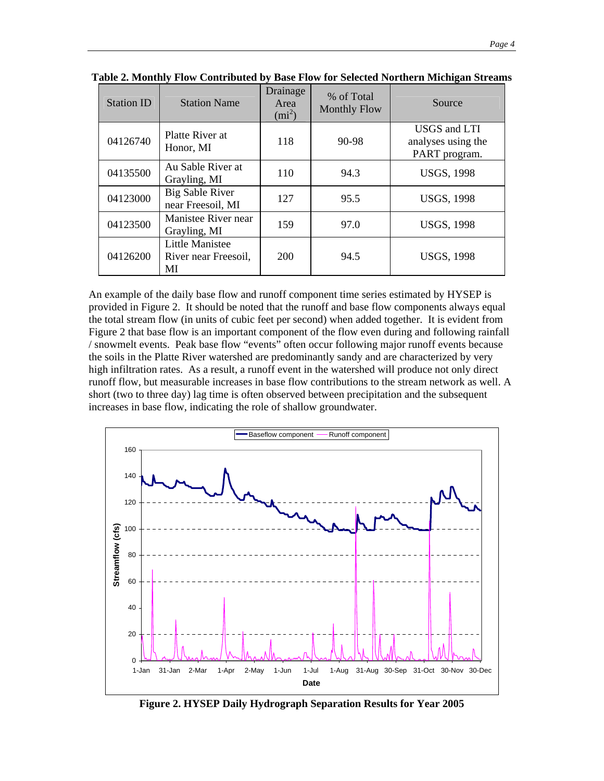| <b>Station ID</b> | <b>Station Name</b>                           | Drainage<br>Area<br>$\text{(mi}^2)$ | % of Total<br><b>Monthly Flow</b> | Source                                              |
|-------------------|-----------------------------------------------|-------------------------------------|-----------------------------------|-----------------------------------------------------|
| 04126740          | Platte River at<br>Honor, MI                  | 118                                 | 90-98                             | USGS and LTI<br>analyses using the<br>PART program. |
| 04135500          | Au Sable River at<br>Grayling, MI             | 110                                 | 94.3                              | <b>USGS, 1998</b>                                   |
| 04123000          | <b>Big Sable River</b><br>near Freesoil, MI   | 127                                 | 95.5                              | <b>USGS, 1998</b>                                   |
| 04123500          | Manistee River near<br>Grayling, MI           | 159                                 | 97.0                              | <b>USGS, 1998</b>                                   |
| 04126200          | Little Manistee<br>River near Freesoil,<br>MI | 200                                 | 94.5                              | <b>USGS, 1998</b>                                   |

**Table 2. Monthly Flow Contributed by Base Flow for Selected Northern Michigan Streams** 

An example of the daily base flow and runoff component time series estimated by HYSEP is provided in Figure 2. It should be noted that the runoff and base flow components always equal the total stream flow (in units of cubic feet per second) when added together. It is evident from Figure 2 that base flow is an important component of the flow even during and following rainfall / snowmelt events. Peak base flow "events" often occur following major runoff events because the soils in the Platte River watershed are predominantly sandy and are characterized by very high infiltration rates. As a result, a runoff event in the watershed will produce not only direct runoff flow, but measurable increases in base flow contributions to the stream network as well. A short (two to three day) lag time is often observed between precipitation and the subsequent increases in base flow, indicating the role of shallow groundwater.



**Figure 2. HYSEP Daily Hydrograph Separation Results for Year 2005**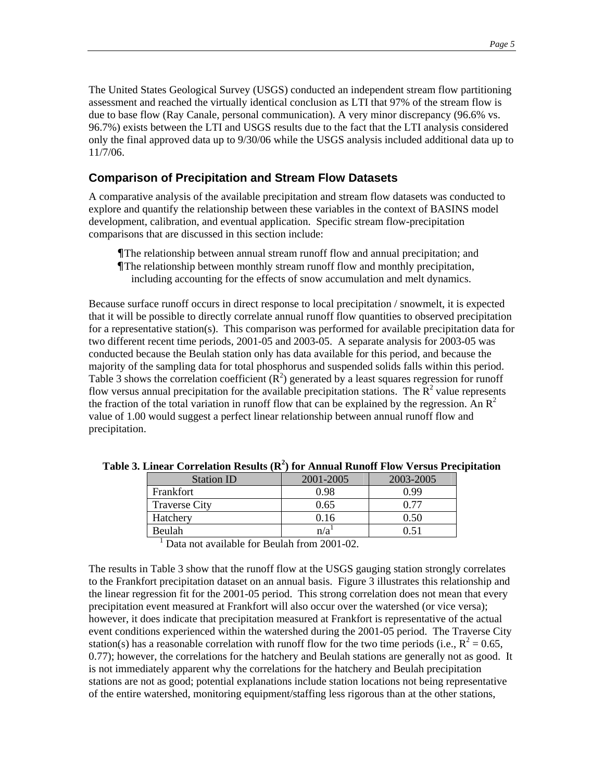The United States Geological Survey (USGS) conducted an independent stream flow partitioning assessment and reached the virtually identical conclusion as LTI that 97% of the stream flow is due to base flow (Ray Canale, personal communication). A very minor discrepancy (96.6% vs. 96.7%) exists between the LTI and USGS results due to the fact that the LTI analysis considered only the final approved data up to 9/30/06 while the USGS analysis included additional data up to 11/7/06.

# **Comparison of Precipitation and Stream Flow Datasets**

A comparative analysis of the available precipitation and stream flow datasets was conducted to explore and quantify the relationship between these variables in the context of BASINS model development, calibration, and eventual application. Specific stream flow-precipitation comparisons that are discussed in this section include:

- The relationship between annual stream runoff flow and annual precipitation; and
- The relationship between monthly stream runoff flow and monthly precipitation, including accounting for the effects of snow accumulation and melt dynamics.

Because surface runoff occurs in direct response to local precipitation / snowmelt, it is expected that it will be possible to directly correlate annual runoff flow quantities to observed precipitation for a representative station(s). This comparison was performed for available precipitation data for two different recent time periods, 2001-05 and 2003-05. A separate analysis for 2003-05 was conducted because the Beulah station only has data available for this period, and because the majority of the sampling data for total phosphorus and suspended solids falls within this period. Table 3 shows the correlation coefficient  $(R^2)$  generated by a least squares regression for runoff flow versus annual precipitation for the available precipitation stations. The  $\mathbb{R}^2$  value represents the fraction of the total variation in runoff flow that can be explained by the regression. An  $R^2$ value of 1.00 would suggest a perfect linear relationship between annual runoff flow and precipitation.

| <b>Station ID</b>    | 2001-2005 | 2003-2005 |
|----------------------|-----------|-----------|
| Frankfort            | 0 98      | 0.99      |
| <b>Traverse City</b> | 0.65      | በ 77      |
| Hatchery             | 0.16      | 0.50      |
| Beulah               | n/a       | በ 51      |

Table 3. Linear Correlation Results (R<sup>2</sup>) for Annual Runoff Flow Versus Precipitation

<sup>1</sup> Data not available for Beulah from 2001-02.

The results in Table 3 show that the runoff flow at the USGS gauging station strongly correlates to the Frankfort precipitation dataset on an annual basis. Figure 3 illustrates this relationship and the linear regression fit for the 2001-05 period. This strong correlation does not mean that every precipitation event measured at Frankfort will also occur over the watershed (or vice versa); however, it does indicate that precipitation measured at Frankfort is representative of the actual event conditions experienced within the watershed during the 2001-05 period. The Traverse City station(s) has a reasonable correlation with runoff flow for the two time periods (i.e.,  $R^2 = 0.65$ , 0.77); however, the correlations for the hatchery and Beulah stations are generally not as good. It is not immediately apparent why the correlations for the hatchery and Beulah precipitation stations are not as good; potential explanations include station locations not being representative of the entire watershed, monitoring equipment/staffing less rigorous than at the other stations,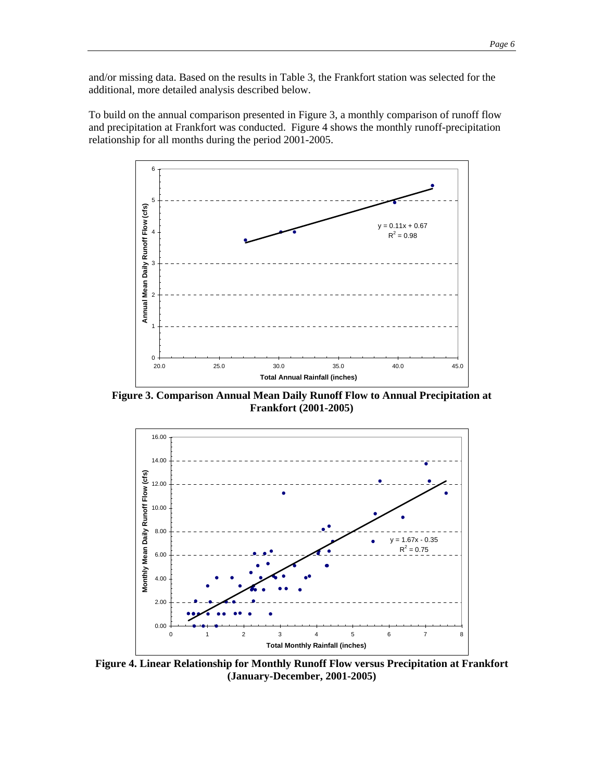and/or missing data. Based on the results in Table 3, the Frankfort station was selected for the additional, more detailed analysis described below.

To build on the annual comparison presented in Figure 3, a monthly comparison of runoff flow and precipitation at Frankfort was conducted. Figure 4 shows the monthly runoff-precipitation relationship for all months during the period 2001-2005.



**Figure 3. Comparison Annual Mean Daily Runoff Flow to Annual Precipitation at Frankfort (2001-2005)**



**Figure 4. Linear Relationship for Monthly Runoff Flow versus Precipitation at Frankfort (January-December, 2001-2005)**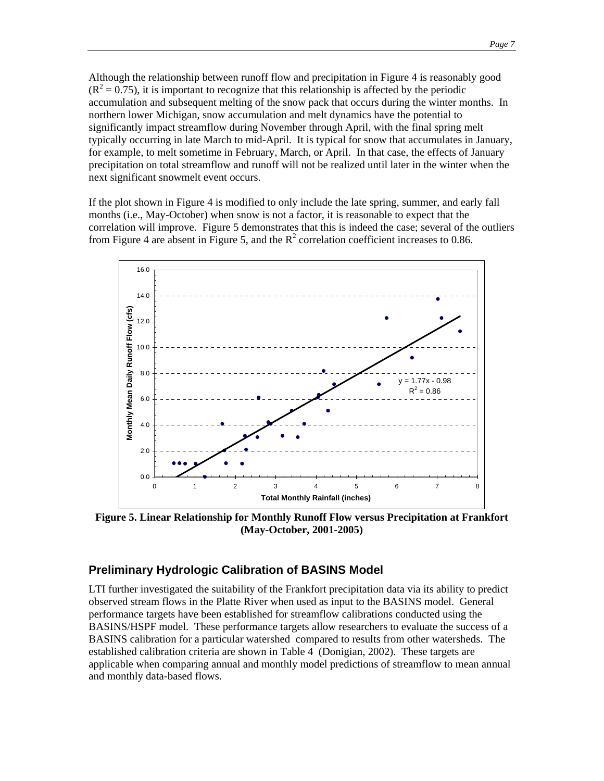Although the relationship between runoff flow and precipitation in Figure 4 is reasonably good  $(R<sup>2</sup> = 0.75)$ , it is important to recognize that this relationship is affected by the periodic accumulation and subsequent melting of the snow pack that occurs during the winter months. In northern lower Michigan, snow accumulation and melt dynamics have the potential to significantly impact streamflow during November through April, with the final spring melt typically occurring in late March to mid-April. It is typical for snow that accumulates in January, for example, to melt sometime in February, March, or April. In that case, the effects of January precipitation on total streamflow and runoff will not be realized until later in the winter when the next significant snowmelt event occurs.

If the plot shown in Figure 4 is modified to only include the late spring, summer, and early fall months (i.e., May-October) when snow is not a factor, it is reasonable to expect that the correlation will improve. Figure 5 demonstrates that this is indeed the case; several of the outliers from Figure 4 are absent in Figure 5, and the  $R^2$  correlation coefficient increases to 0.86.



**Figure 5. Linear Relationship for Monthly Runoff Flow versus Precipitation at Frankfort (May-October, 2001-2005)**

# **Preliminary Hydrologic Calibration of BASINS Model**

LTI further investigated the suitability of the Frankfort precipitation data via its ability to predict observed stream flows in the Platte River when used as input to the BASINS model. General performance targets have been established for streamflow calibrations conducted using the BASINS/HSPF model. These performance targets allow researchers to evaluate the success of a BASINS calibration for a particular watershed compared to results from other watersheds. The established calibration criteria are shown in Table 4 (Donigian, 2002). These targets are applicable when comparing annual and monthly model predictions of streamflow to mean annual and monthly data-based flows.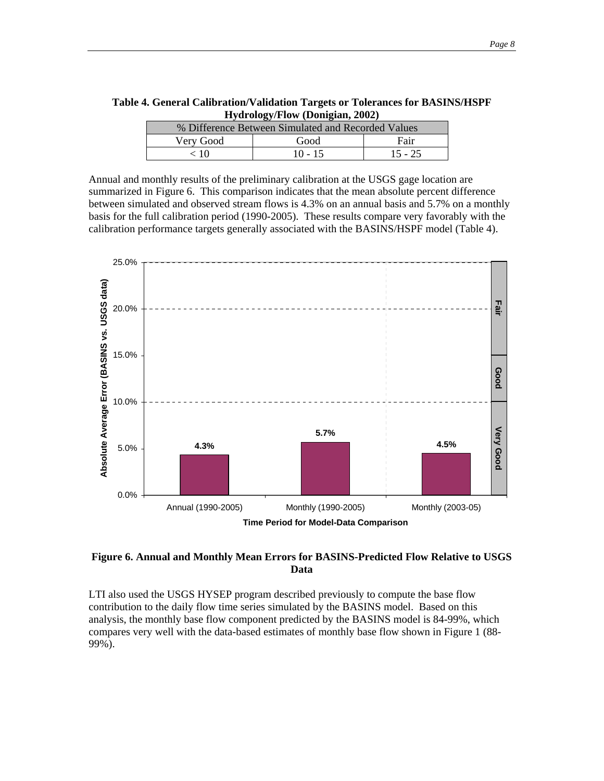| . .<br>% Difference Between Simulated and Recorded Values |           |           |  |  |  |
|-----------------------------------------------------------|-----------|-----------|--|--|--|
| Very Good                                                 | Good      | Fair      |  |  |  |
| < 10                                                      | $10 - 15$ | $15 - 25$ |  |  |  |

**Table 4. General Calibration/Validation Targets or Tolerances for BASINS/HSPF Hydrology/Flow (Donigian, 2002)**

Annual and monthly results of the preliminary calibration at the USGS gage location are summarized in Figure 6. This comparison indicates that the mean absolute percent difference between simulated and observed stream flows is 4.3% on an annual basis and 5.7% on a monthly basis for the full calibration period (1990-2005). These results compare very favorably with the calibration performance targets generally associated with the BASINS/HSPF model (Table 4).



#### **Figure 6. Annual and Monthly Mean Errors for BASINS-Predicted Flow Relative to USGS Data**

LTI also used the USGS HYSEP program described previously to compute the base flow contribution to the daily flow time series simulated by the BASINS model. Based on this analysis, the monthly base flow component predicted by the BASINS model is 84-99%, which compares very well with the data-based estimates of monthly base flow shown in Figure 1 (88- 99%).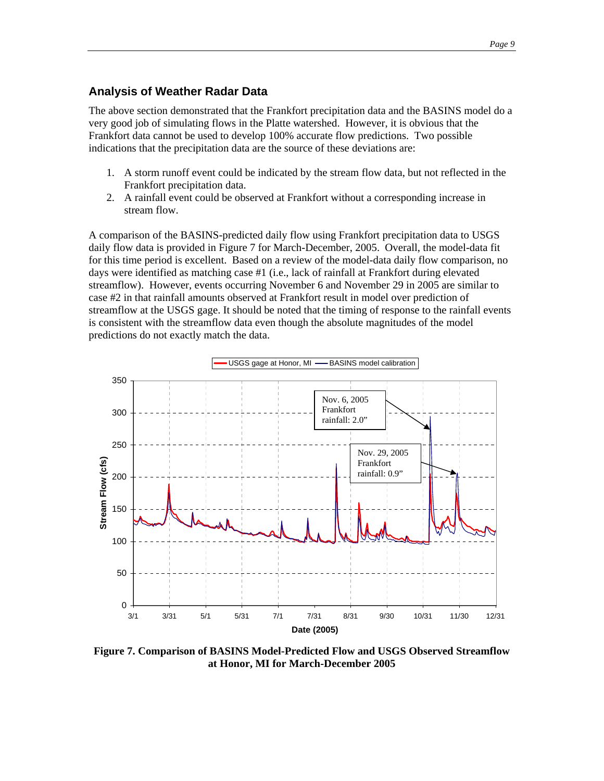## **Analysis of Weather Radar Data**

The above section demonstrated that the Frankfort precipitation data and the BASINS model do a very good job of simulating flows in the Platte watershed. However, it is obvious that the Frankfort data cannot be used to develop 100% accurate flow predictions. Two possible indications that the precipitation data are the source of these deviations are:

- 1. A storm runoff event could be indicated by the stream flow data, but not reflected in the Frankfort precipitation data.
- 2. A rainfall event could be observed at Frankfort without a corresponding increase in stream flow.

A comparison of the BASINS-predicted daily flow using Frankfort precipitation data to USGS daily flow data is provided in Figure 7 for March-December, 2005. Overall, the model-data fit for this time period is excellent. Based on a review of the model-data daily flow comparison, no days were identified as matching case #1 (i.e., lack of rainfall at Frankfort during elevated streamflow). However, events occurring November 6 and November 29 in 2005 are similar to case #2 in that rainfall amounts observed at Frankfort result in model over prediction of streamflow at the USGS gage. It should be noted that the timing of response to the rainfall events is consistent with the streamflow data even though the absolute magnitudes of the model predictions do not exactly match the data.



**Figure 7. Comparison of BASINS Model-Predicted Flow and USGS Observed Streamflow at Honor, MI for March-December 2005**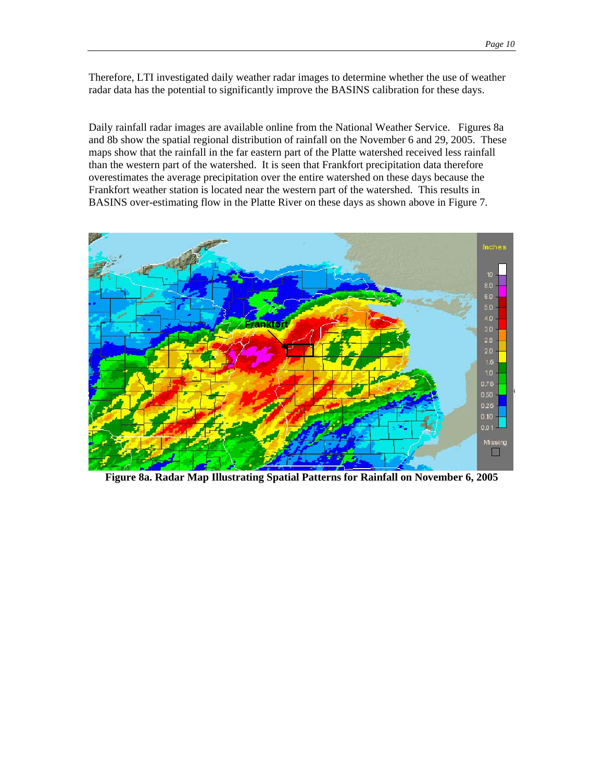Therefore, LTI investigated daily weather radar images to determine whether the use of weather radar data has the potential to significantly improve the BASINS calibration for these days.

Daily rainfall radar images are available online from the National Weather Service. Figures 8a and 8b show the spatial regional distribution of rainfall on the November 6 and 29, 2005. These maps show that the rainfall in the far eastern part of the Platte watershed received less rainfall than the western part of the watershed. It is seen that Frankfort precipitation data therefore overestimates the average precipitation over the entire watershed on these days because the Frankfort weather station is located near the western part of the watershed. This results in BASINS over-estimating flow in the Platte River on these days as shown above in Figure 7.



**Figure 8a. Radar Map Illustrating Spatial Patterns for Rainfall on November 6, 2005**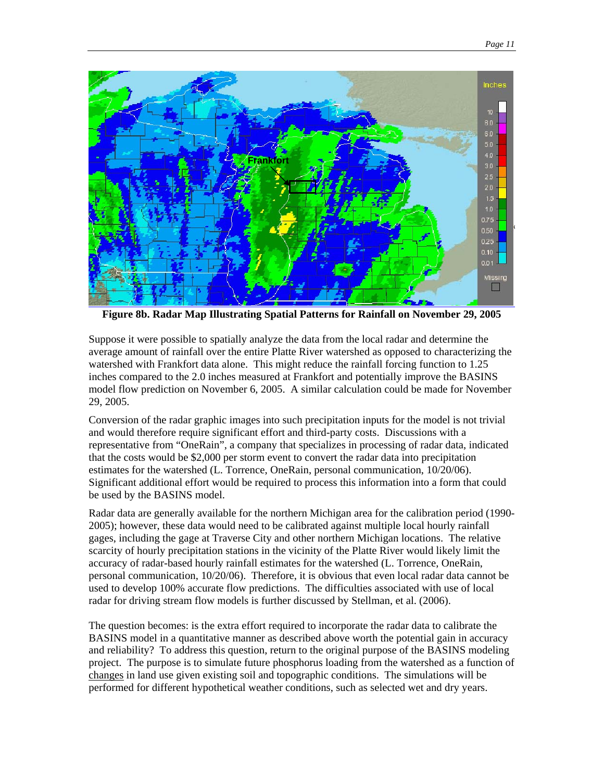

**Figure 8b. Radar Map Illustrating Spatial Patterns for Rainfall on November 29, 2005**

Suppose it were possible to spatially analyze the data from the local radar and determine the average amount of rainfall over the entire Platte River watershed as opposed to characterizing the watershed with Frankfort data alone. This might reduce the rainfall forcing function to 1.25 inches compared to the 2.0 inches measured at Frankfort and potentially improve the BASINS model flow prediction on November 6, 2005. A similar calculation could be made for November 29, 2005.

Conversion of the radar graphic images into such precipitation inputs for the model is not trivial and would therefore require significant effort and third-party costs. Discussions with a representative from "OneRain", a company that specializes in processing of radar data, indicated that the costs would be \$2,000 per storm event to convert the radar data into precipitation estimates for the watershed (L. Torrence, OneRain, personal communication, 10/20/06). Significant additional effort would be required to process this information into a form that could be used by the BASINS model.

Radar data are generally available for the northern Michigan area for the calibration period (1990- 2005); however, these data would need to be calibrated against multiple local hourly rainfall gages, including the gage at Traverse City and other northern Michigan locations. The relative scarcity of hourly precipitation stations in the vicinity of the Platte River would likely limit the accuracy of radar-based hourly rainfall estimates for the watershed (L. Torrence, OneRain, personal communication, 10/20/06). Therefore, it is obvious that even local radar data cannot be used to develop 100% accurate flow predictions. The difficulties associated with use of local radar for driving stream flow models is further discussed by Stellman, et al. (2006).

The question becomes: is the extra effort required to incorporate the radar data to calibrate the BASINS model in a quantitative manner as described above worth the potential gain in accuracy and reliability? To address this question, return to the original purpose of the BASINS modeling project. The purpose is to simulate future phosphorus loading from the watershed as a function of changes in land use given existing soil and topographic conditions. The simulations will be performed for different hypothetical weather conditions, such as selected wet and dry years.